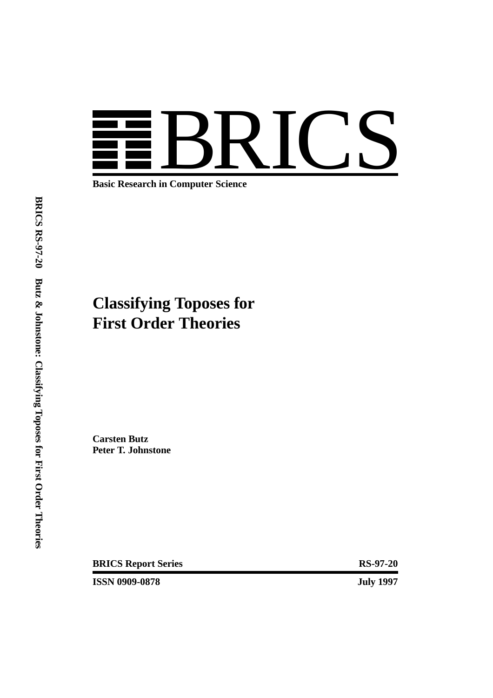

**Basic Research in Computer Science**

# **Classifying Toposes for First Order Theories**

**Carsten Butz Peter T. Johnstone**

**BRICS Report Series** RS-97-20

**ISSN 0909-0878 July 1997**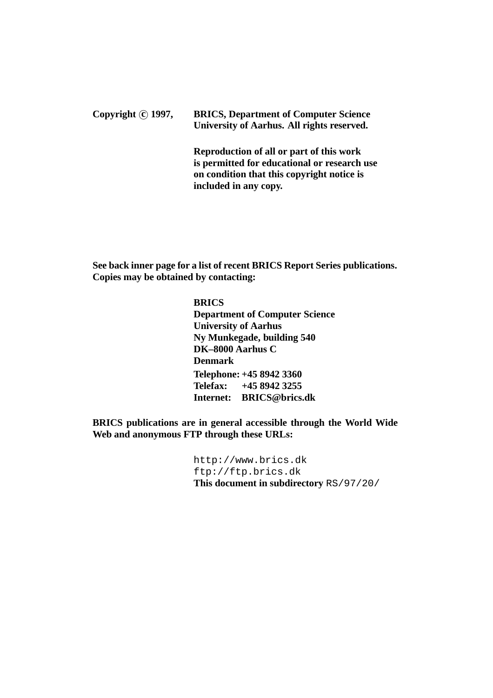### **Copyright c 1997, BRICS, Department of Computer Science University of Aarhus. All rights reserved.**

**Reproduction of all or part of this work is permitted for educational or research use on condition that this copyright notice is included in any copy.**

**See back inner page for a list of recent BRICS Report Series publications. Copies may be obtained by contacting:**

> **BRICS Department of Computer Science University of Aarhus Ny Munkegade, building 540 DK–8000 Aarhus C Denmark Telephone: +45 8942 3360 Telefax: +45 8942 3255 Internet: BRICS@brics.dk**

**BRICS publications are in general accessible through the World Wide Web and anonymous FTP through these URLs:**

> http://www.brics.dk ftp://ftp.brics.dk **This document in subdirectory** RS/97/20/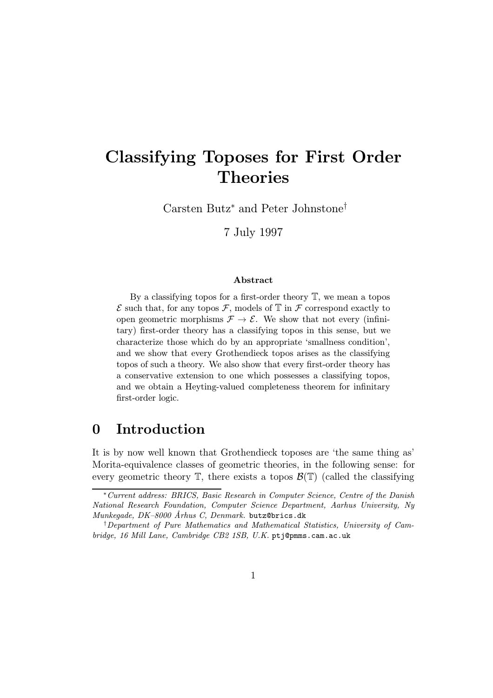# Classifying Toposes for First Order Theories

Carsten Butz<sup>∗</sup> and Peter Johnstone†

7 July 1997

#### Abstract

By a classifying topos for a first-order theory  $\mathbb{T}$ , we mean a topos  $\mathcal E$  such that, for any topos  $\mathcal F$ , models of  $\mathbb T$  in  $\mathcal F$  correspond exactly to open geometric morphisms  $\mathcal{F} \to \mathcal{E}$ . We show that not every (infinitary) first-order theory has a classifying topos in this sense, but we characterize those which do by an appropriate 'smallness condition', and we show that every Grothendieck topos arises as the classifying topos of such a theory. We also show that every first-order theory has a conservative extension to one which possesses a classifying topos, and we obtain a Heyting-valued completeness theorem for infinitary first-order logic.

### 0 Introduction

It is by now well known that Grothendieck toposes are 'the same thing as' Morita-equivalence classes of geometric theories, in the following sense: for every geometric theory  $\mathbb{T}$ , there exists a topos  $\mathcal{B}(\mathbb{T})$  (called the classifying

<sup>∗</sup>Current address: BRICS, Basic Research in Computer Science, Centre of the Danish National Research Foundation, Computer Science Department, Aarhus University, Ny Munkegade, DK-8000 Århus C, Denmark. butz@brics.dk

<sup>†</sup>Department of Pure Mathematics and Mathematical Statistics, University of Cambridge, 16 Mill Lane, Cambridge CB2 1SB, U.K. ptj@pmms.cam.ac.uk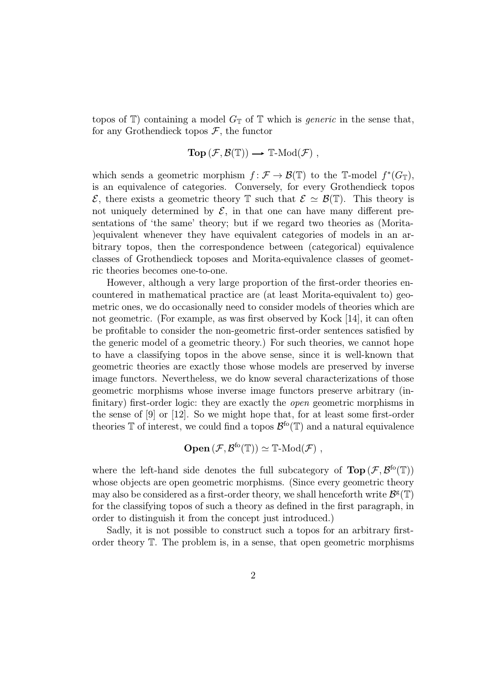topos of  $\mathbb{T}$ ) containing a model  $G_{\mathbb{T}}$  of  $\mathbb{T}$  which is *generic* in the sense that, for any Grothendieck topos  $\mathcal{F}$ , the functor

$$
\textbf{Top}(\mathcal{F},\mathcal{B}(\mathbb{T})) \longrightarrow \mathbb{T}\text{-}\mathrm{Mod}(\mathcal{F}) ,
$$

which sends a geometric morphism  $f : \mathcal{F} \to \mathcal{B}(\mathbb{T})$  to the T-model  $f^*(G_{\mathbb{T}})$ , is an equivalence of categories. Conversely, for every Grothendieck topos  $\mathcal{E}$ , there exists a geometric theory  $\mathbb{T}$  such that  $\mathcal{E} \simeq \mathcal{B}(\mathbb{T})$ . This theory is not uniquely determined by  $\mathcal{E}$ , in that one can have many different presentations of 'the same' theory; but if we regard two theories as (Morita- )equivalent whenever they have equivalent categories of models in an arbitrary topos, then the correspondence between (categorical) equivalence classes of Grothendieck toposes and Morita-equivalence classes of geometric theories becomes one-to-one.

However, although a very large proportion of the first-order theories encountered in mathematical practice are (at least Morita-equivalent to) geometric ones, we do occasionally need to consider models of theories which are not geometric. (For example, as was first observed by Kock [14], it can often be profitable to consider the non-geometric first-order sentences satisfied by the generic model of a geometric theory.) For such theories, we cannot hope to have a classifying topos in the above sense, since it is well-known that geometric theories are exactly those whose models are preserved by inverse image functors. Nevertheless, we do know several characterizations of those geometric morphisms whose inverse image functors preserve arbitrary (infinitary) first-order logic: they are exactly the *open* geometric morphisms in the sense of [9] or [12]. So we might hope that, for at least some first-order theories  $\mathbb T$  of interest, we could find a topos  $\mathcal{B}^{f}(\mathbb T)$  and a natural equivalence

$$
\textbf{Open}(\mathcal{F},\mathcal{B}^{\text{fo}}(\mathbb{T})) \simeq \mathbb{T}\text{-}\mathrm{Mod}(\mathcal{F}) ,
$$

where the left-hand side denotes the full subcategory of  $\text{Top}(\mathcal{F}, \mathcal{B}^{\text{fo}}(\mathbb{T}))$ whose objects are open geometric morphisms. (Since every geometric theory may also be considered as a first-order theory, we shall henceforth write  $\mathcal{B}^{\mathsf{g}}(\mathbb{T})$ for the classifying topos of such a theory as defined in the first paragraph, in order to distinguish it from the concept just introduced.)

Sadly, it is not possible to construct such a topos for an arbitrary firstorder theory T. The problem is, in a sense, that open geometric morphisms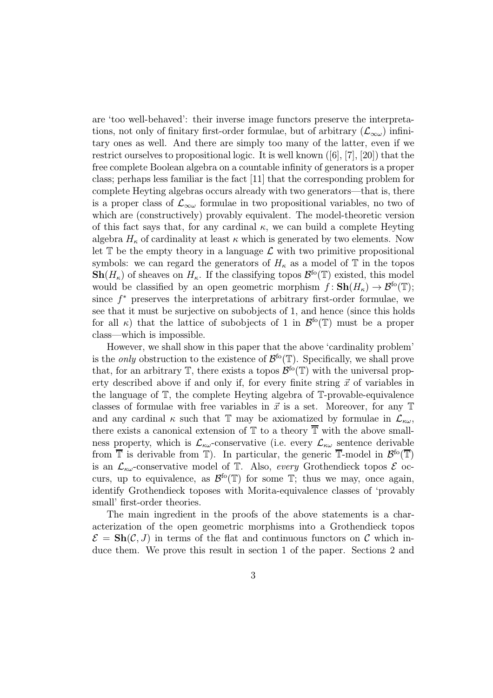are 'too well-behaved': their inverse image functors preserve the interpretations, not only of finitary first-order formulae, but of arbitrary  $(\mathcal{L}_{\infty \omega})$  infinitary ones as well. And there are simply too many of the latter, even if we restrict ourselves to propositional logic. It is well known ([6], [7], [20]) that the free complete Boolean algebra on a countable infinity of generators is a proper class; perhaps less familiar is the fact [11] that the corresponding problem for complete Heyting algebras occurs already with two generators—that is, there is a proper class of  $\mathcal{L}_{\infty\omega}$  formulae in two propositional variables, no two of which are (constructively) provably equivalent. The model-theoretic version of this fact says that, for any cardinal  $\kappa$ , we can build a complete Heyting algebra  $H_{\kappa}$  of cardinality at least  $\kappa$  which is generated by two elements. Now let  $\mathbb T$  be the empty theory in a language  $\mathcal L$  with two primitive propositional symbols: we can regard the generators of  $H_{\kappa}$  as a model of  $\mathbb T$  in the topos  $\mathbf{Sh}(H_{\kappa})$  of sheaves on  $H_{\kappa}$ . If the classifying topos  $\mathcal{B}^{\text{fo}}(\mathbb{T})$  existed, this model would be classified by an open geometric morphism  $f: \mathbf{Sh}(H_{\kappa}) \to \mathcal{B}^{f}(\mathbb{T});$ since  $f^*$  preserves the interpretations of arbitrary first-order formulae, we see that it must be surjective on subobjects of 1, and hence (since this holds for all  $\kappa$ ) that the lattice of subobjects of 1 in  $\mathcal{B}^{f}(\mathbb{T})$  must be a proper class—which is impossible.

However, we shall show in this paper that the above 'cardinality problem' is the *only* obstruction to the existence of  $\mathcal{B}^{f}(\mathbb{T})$ . Specifically, we shall prove that, for an arbitrary  $\mathbb{T}$ , there exists a topos  $\mathcal{B}^{f\circ}(\mathbb{T})$  with the universal property described above if and only if, for every finite string  $\vec{x}$  of variables in the language of T, the complete Heyting algebra of T-provable-equivalence classes of formulae with free variables in  $\vec{x}$  is a set. Moreover, for any  $\mathbb T$ and any cardinal  $\kappa$  such that T may be axiomatized by formulae in  $\mathcal{L}_{\kappa\omega}$ , there exists a canonical extension of  $\mathbb T$  to a theory  $\overline{\mathbb T}$  with the above smallness property, which is  $\mathcal{L}_{\kappa\omega}$ -conservative (i.e. every  $\mathcal{L}_{\kappa\omega}$  sentence derivable from  $\overline{\mathbb{T}}$  is derivable from  $\mathbb{T}$ ). In particular, the generic  $\overline{\mathbb{T}}$ -model in  $\mathcal{B}^{\text{fo}}(\overline{\mathbb{T}})$ is an  $\mathcal{L}_{\kappa\omega}$ -conservative model of T. Also, every Grothendieck topos  $\mathcal E$  occurs, up to equivalence, as  $\mathcal{B}^{f}(\mathbb{T})$  for some  $\mathbb{T}$ ; thus we may, once again, identify Grothendieck toposes with Morita-equivalence classes of 'provably small' first-order theories.

The main ingredient in the proofs of the above statements is a characterization of the open geometric morphisms into a Grothendieck topos  $\mathcal{E} = \mathbf{Sh}(\mathcal{C}, J)$  in terms of the flat and continuous functors on C which induce them. We prove this result in section 1 of the paper. Sections 2 and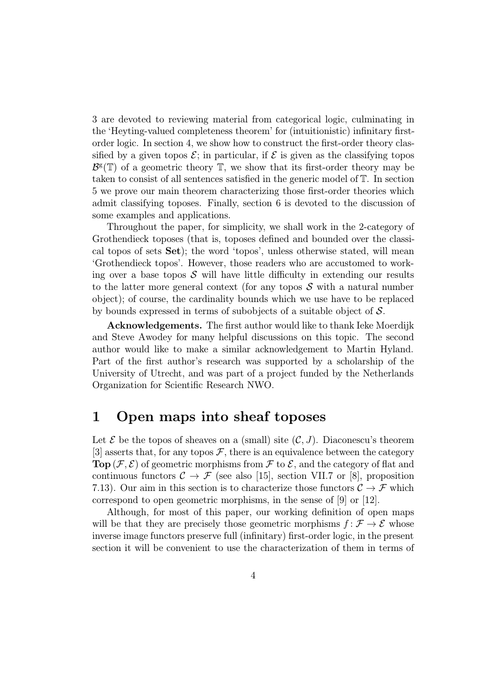3 are devoted to reviewing material from categorical logic, culminating in the 'Heyting-valued completeness theorem' for (intuitionistic) infinitary firstorder logic. In section 4, we show how to construct the first-order theory classified by a given topos  $\mathcal{E}$ ; in particular, if  $\mathcal{E}$  is given as the classifying topos  $\mathcal{B}^{\mathsf{g}}(\mathbb{T})$  of a geometric theory  $\mathbb{T}$ , we show that its first-order theory may be taken to consist of all sentences satisfied in the generic model of T. In section 5 we prove our main theorem characterizing those first-order theories which admit classifying toposes. Finally, section 6 is devoted to the discussion of some examples and applications.

Throughout the paper, for simplicity, we shall work in the 2-category of Grothendieck toposes (that is, toposes defined and bounded over the classical topos of sets Set); the word 'topos', unless otherwise stated, will mean 'Grothendieck topos'. However, those readers who are accustomed to working over a base topos  $S$  will have little difficulty in extending our results to the latter more general context (for any topos  $\mathcal S$  with a natural number object); of course, the cardinality bounds which we use have to be replaced by bounds expressed in terms of subobjects of a suitable object of  $S$ .

Acknowledgements. The first author would like to thank Ieke Moerdijk and Steve Awodey for many helpful discussions on this topic. The second author would like to make a similar acknowledgement to Martin Hyland. Part of the first author's research was supported by a scholarship of the University of Utrecht, and was part of a project funded by the Netherlands Organization for Scientific Research NWO.

### 1 Open maps into sheaf toposes

Let  $\mathcal E$  be the topos of sheaves on a (small) site  $(\mathcal C, J)$ . Diaconescu's theorem [3] asserts that, for any topos  $\mathcal F$ , there is an equivalence between the category **Top**( $\mathcal{F}, \mathcal{E}$ ) of geometric morphisms from  $\mathcal{F}$  to  $\mathcal{E}$ , and the category of flat and continuous functors  $C \rightarrow \mathcal{F}$  (see also [15], section VII.7 or [8], proposition 7.13). Our aim in this section is to characterize those functors  $C \rightarrow \mathcal{F}$  which correspond to open geometric morphisms, in the sense of [9] or [12].

Although, for most of this paper, our working definition of open maps will be that they are precisely those geometric morphisms  $f: \mathcal{F} \to \mathcal{E}$  whose inverse image functors preserve full (infinitary) first-order logic, in the present section it will be convenient to use the characterization of them in terms of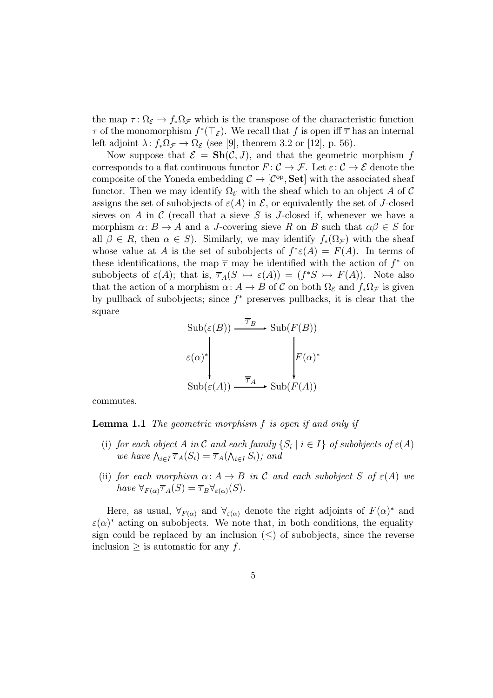the map  $\overline{\tau}$ :  $\Omega_{\mathcal{E}} \to f_* \Omega_{\mathcal{F}}$  which is the transpose of the characteristic function  $\tau$  of the monomorphism  $f^*(\top_{\mathcal{E}})$ . We recall that f is open iff  $\overline{\tau}$  has an internal left adjoint  $\lambda: f_*\Omega_{\mathcal{F}} \to \Omega_{\mathcal{E}}$  (see [9], theorem 3.2 or [12], p. 56).

Now suppose that  $\mathcal{E} = \mathbf{Sh}(\mathcal{C}, J)$ , and that the geometric morphism f corresponds to a flat continuous functor  $F: \mathcal{C} \to \mathcal{F}$ . Let  $\varepsilon: \mathcal{C} \to \mathcal{E}$  denote the composite of the Yoneda embedding  $\mathcal{C} \to [\mathcal{C}^{\text{op}}, \mathbf{Set}]$  with the associated sheaf functor. Then we may identify  $\Omega_{\mathcal{E}}$  with the sheaf which to an object A of C assigns the set of subobjects of  $\varepsilon(A)$  in  $\mathcal{E}$ , or equivalently the set of J-closed sieves on A in C (recall that a sieve S is J-closed if, whenever we have a morphism  $\alpha: B \to A$  and a J-covering sieve R on B such that  $\alpha\beta \in S$  for all  $\beta \in R$ , then  $\alpha \in S$ ). Similarly, we may identify  $f_*(\Omega_{\mathcal{F}})$  with the sheaf whose value at A is the set of subobjects of  $f^* \varepsilon(A) = F(A)$ . In terms of these identifications, the map  $\bar{\tau}$  may be identified with the action of  $f^*$  on subobjects of  $\varepsilon(A)$ ; that is,  $\overline{\tau}_A(S \rightarrowtail \varepsilon(A)) = (f^*S \rightarrowtail F(A))$ . Note also that the action of a morphism  $\alpha: A \to B$  of C on both  $\Omega_{\mathcal{E}}$  and  $f_*\Omega_{\mathcal{F}}$  is given by pullback of subobjects; since  $f^*$  preserves pullbacks, it is clear that the square

$$
\text{Sub}(\varepsilon(B)) \xrightarrow{\overline{\tau}_B} \text{Sub}(F(B))
$$

$$
\varepsilon(\alpha)^* \downarrow \qquad \qquad \downarrow F(\alpha)^*
$$

$$
\text{Sub}(\varepsilon(A)) \xrightarrow{\overline{\tau}_A} \text{Sub}(F(A))
$$

commutes.

Lemma 1.1 The geometric morphism f is open if and only if

- (i) for each object A in C and each family  $\{S_i | i \in I\}$  of subobjects of  $\varepsilon(A)$ we have  $\bigwedge_{i\in I} \overline{\tau}_A(S_i) = \overline{\tau}_A(\bigwedge_{i\in I} S_i)$ ; and
- (ii) for each morphism  $\alpha: A \to B$  in C and each subobject S of  $\varepsilon(A)$  we have  $\forall_{F(\alpha)} \overline{\tau}_A(S) = \overline{\tau}_B \forall_{\varepsilon(\alpha)}(S)$ .

Here, as usual,  $\forall_{F(\alpha)}$  and  $\forall_{\epsilon(\alpha)}$  denote the right adjoints of  $F(\alpha)^*$  and  $\varepsilon(\alpha)^*$  acting on subobjects. We note that, in both conditions, the equality sign could be replaced by an inclusion  $(\le)$  of subobjects, since the reverse inclusion  $\geq$  is automatic for any f.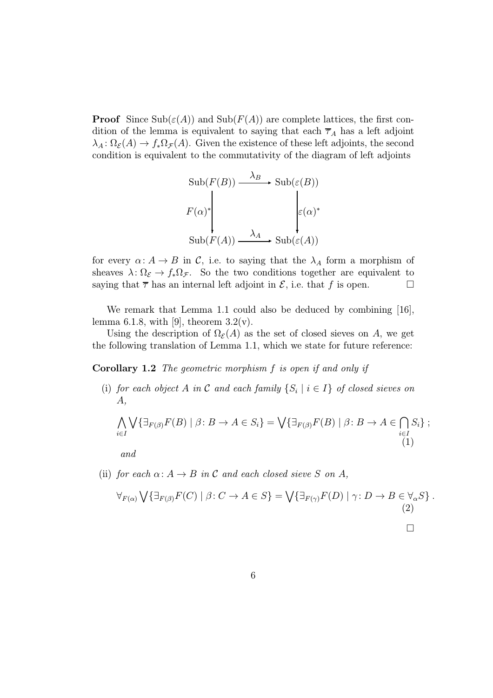**Proof** Since  $\text{Sub}(\varepsilon(A))$  and  $\text{Sub}(F(A))$  are complete lattices, the first condition of the lemma is equivalent to saying that each  $\overline{\tau}_A$  has a left adjoint  $\lambda_A : \Omega_{\mathcal{E}}(A) \to f_* \Omega_{\mathcal{F}}(A)$ . Given the existence of these left adjoints, the second condition is equivalent to the commutativity of the diagram of left adjoints

$$
\text{Sub}(F(B)) \xrightarrow{\lambda_B} \text{Sub}(\varepsilon(B))
$$
  

$$
F(\alpha)^* \downarrow \qquad \qquad \downarrow \varepsilon(\alpha)^*
$$
  

$$
\text{Sub}(F(A)) \xrightarrow{\lambda_A} \text{Sub}(\varepsilon(A))
$$

for every  $\alpha: A \to B$  in C, i.e. to saying that the  $\lambda_A$  form a morphism of sheaves  $\lambda: \Omega_{\mathcal{E}} \to f_*\Omega_{\mathcal{F}}$ . So the two conditions together are equivalent to saying that  $\overline{\tau}$  has an internal left adjoint in  $\mathcal{E}$ , i.e. that f is open.

We remark that Lemma 1.1 could also be deduced by combining [16], lemma 6.1.8, with [9], theorem  $3.2(v)$ .

Using the description of  $\Omega_{\mathcal{E}}(A)$  as the set of closed sieves on A, we get the following translation of Lemma 1.1, which we state for future reference:

Corollary 1.2 The geometric morphism f is open if and only if

(i) for each object A in C and each family  $\{S_i | i \in I\}$  of closed sieves on A,

$$
\bigwedge_{i\in I} \bigvee \{\exists_{F(\beta)} F(B) \mid \beta \colon B \to A \in S_i\} = \bigvee \{\exists_{F(\beta)} F(B) \mid \beta \colon B \to A \in \bigcap_{i\in I} S_i\};\tag{1}
$$

and

(ii) for each  $\alpha: A \to B$  in C and each closed sieve S on A,

$$
\forall_{F(\alpha)} \bigvee \{ \exists_{F(\beta)} F(C) \mid \beta \colon C \to A \in S \} = \bigvee \{ \exists_{F(\gamma)} F(D) \mid \gamma \colon D \to B \in \forall_{\alpha} S \} .
$$
\n(2)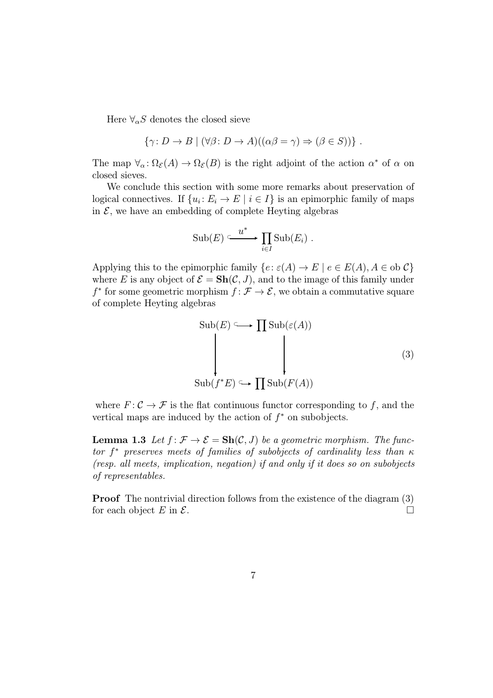Here  $\forall_{\alpha} S$  denotes the closed sieve

$$
\{\gamma: D \to B \mid (\forall \beta: D \to A)((\alpha \beta = \gamma) \Rightarrow (\beta \in S))\}.
$$

The map  $\forall_{\alpha} : \Omega_{\mathcal{E}}(A) \to \Omega_{\mathcal{E}}(B)$  is the right adjoint of the action  $\alpha^*$  of  $\alpha$  on closed sieves.

We conclude this section with some more remarks about preservation of logical connectives. If  $\{u_i : E_i \to E \mid i \in I\}$  is an epimorphic family of maps in  $\mathcal{E}$ , we have an embedding of complete Heyting algebras

$$
\mathrm{Sub}(E) \xrightarrow{u^*} \prod_{i \in I} \mathrm{Sub}(E_i) .
$$

Applying this to the epimorphic family  $\{e: \varepsilon(A) \to E \mid e \in E(A), A \in \text{ob } C\}$ where E is any object of  $\mathcal{E} = \mathbf{Sh}(\mathcal{C}, J)$ , and to the image of this family under  $f^*$  for some geometric morphism  $f: \mathcal{F} \to \mathcal{E}$ , we obtain a commutative square of complete Heyting algebras

$$
\text{Sub}(E) \longrightarrow \prod \text{Sub}(\varepsilon(A))
$$
\n
$$
\downarrow \qquad \qquad \downarrow \qquad (3)
$$
\n
$$
\text{Sub}(f^*E) \longrightarrow \prod \text{Sub}(F(A))
$$

where  $F: \mathcal{C} \to \mathcal{F}$  is the flat continuous functor corresponding to f, and the vertical maps are induced by the action of  $f^*$  on subobjects.

**Lemma 1.3** Let  $f: \mathcal{F} \to \mathcal{E} = \mathbf{Sh}(\mathcal{C}, J)$  be a geometric morphism. The functor  $f^*$  preserves meets of families of subobjects of cardinality less than  $\kappa$ (resp. all meets, implication, negation) if and only if it does so on subobjects of representables.

Proof The nontrivial direction follows from the existence of the diagram (3) for each object  $E$  in  $\mathcal{E}$ .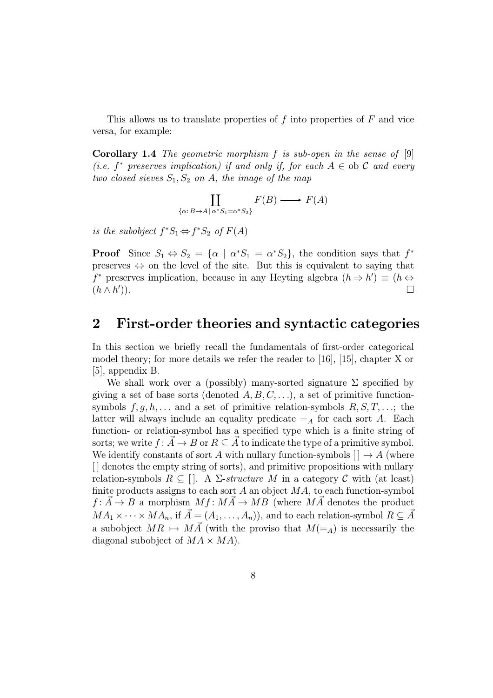This allows us to translate properties of  $f$  into properties of  $F$  and vice versa, for example:

**Corollary 1.4** The geometric morphism  $f$  is sub-open in the sense of  $[9]$ (i.e.  $f^*$  preserves implication) if and only if, for each  $A \in$  ob C and every two closed sieves  $S_1, S_2$  on A, the image of the map

$$
\coprod_{\{\alpha: B \to A \mid \alpha^* S_1 = \alpha^* S_2\}} F(B) \longrightarrow F(A)
$$

is the subobject  $f^*S_1 \Leftrightarrow f^*S_2$  of  $F(A)$ 

**Proof** Since  $S_1 \Leftrightarrow S_2 = {\alpha \mid \alpha^*S_1 = \alpha^*S_2}$ , the condition says that  $f^*$ preserves ⇔ on the level of the site. But this is equivalent to saying that f<sup>\*</sup> preserves implication, because in any Heyting algebra  $(h \Rightarrow h') \equiv (h \Leftrightarrow h')$  $(h \wedge h')$ . )).  $\Box$ 

### 2 First-order theories and syntactic categories

In this section we briefly recall the fundamentals of first-order categorical model theory; for more details we refer the reader to [16], [15], chapter X or [5], appendix B.

We shall work over a (possibly) many-sorted signature  $\Sigma$  specified by giving a set of base sorts (denoted  $A, B, C, \ldots$ ), a set of primitive functionsymbols  $f, g, h, \ldots$  and a set of primitive relation-symbols  $R, S, T, \ldots$ ; the latter will always include an equality predicate  $=_A$  for each sort A. Each function- or relation-symbol has a specified type which is a finite string of sorts; we write  $f: \vec{A} \to B$  or  $R \subseteq \vec{A}$  to indicate the type of a primitive symbol. We identify constants of sort A with nullary function-symbols  $[\,] \rightarrow A$  (where [ ] denotes the empty string of sorts), and primitive propositions with nullary relation-symbols  $R \subseteq [$ . A  $\Sigma$ -structure M in a category C with (at least) finite products assigns to each sort  $A$  an object  $MA$ , to each function-symbol  $f: A \rightarrow B$  a morphism  $Mf: MA \rightarrow MB$  (where MA denotes the product  $MA_1 \times \cdots \times MA_n$ , if  $\vec{A} = (A_1, \ldots, A_n)$ , and to each relation-symbol  $R \subseteq \vec{A}$ a subobject  $MR \rightarrow MA$  (with the proviso that  $M(=_A)$  is necessarily the diagonal subobject of  $MA \times MA$ .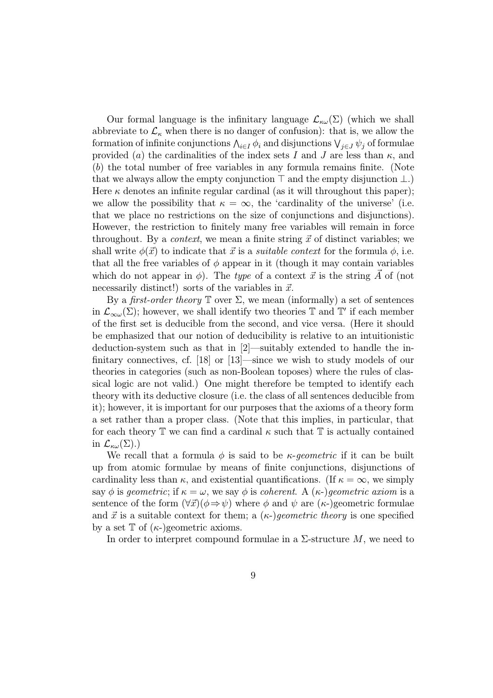Our formal language is the infinitary language  $\mathcal{L}_{\kappa\omega}(\Sigma)$  (which we shall abbreviate to  $\mathcal{L}_{\kappa}$  when there is no danger of confusion): that is, we allow the formation of infinite conjunctions  $\bigwedge_{i\in I}\phi_i$  and disjunctions  $\bigvee_{j\in J}\psi_j$  of formulae provided (a) the cardinalities of the index sets I and J are less than  $\kappa$ , and (b) the total number of free variables in any formula remains finite. (Note that we always allow the empty conjunction  $\top$  and the empty disjunction  $\bot$ .) Here  $\kappa$  denotes an infinite regular cardinal (as it will throughout this paper); we allow the possibility that  $\kappa = \infty$ , the 'cardinality of the universe' (i.e. that we place no restrictions on the size of conjunctions and disjunctions). However, the restriction to finitely many free variables will remain in force throughout. By a *context*, we mean a finite string  $\vec{x}$  of distinct variables; we shall write  $\phi(\vec{x})$  to indicate that  $\vec{x}$  is a *suitable context* for the formula  $\phi$ , i.e. that all the free variables of  $\phi$  appear in it (though it may contain variables which do not appear in  $\phi$ ). The type of a context  $\vec{x}$  is the string A of (not necessarily distinct!) sorts of the variables in  $\vec{x}$ .

By a *first-order theory*  $\mathbb T$  over  $\Sigma$ , we mean (informally) a set of sentences in  $\mathcal{L}_{\infty\omega}(\Sigma)$ ; however, we shall identify two theories T and T' if each member of the first set is deducible from the second, and vice versa. (Here it should be emphasized that our notion of deducibility is relative to an intuitionistic deduction-system such as that in [2]—suitably extended to handle the infinitary connectives, cf. [18] or [13]—since we wish to study models of our theories in categories (such as non-Boolean toposes) where the rules of classical logic are not valid.) One might therefore be tempted to identify each theory with its deductive closure (i.e. the class of all sentences deducible from it); however, it is important for our purposes that the axioms of a theory form a set rather than a proper class. (Note that this implies, in particular, that for each theory  $\mathbb T$  we can find a cardinal  $\kappa$  such that  $\mathbb T$  is actually contained in  $\mathcal{L}_{\kappa\omega}(\Sigma)$ .)

We recall that a formula  $\phi$  is said to be *κ*-geometric if it can be built up from atomic formulae by means of finite conjunctions, disjunctions of cardinality less than  $\kappa$ , and existential quantifications. (If  $\kappa = \infty$ , we simply say  $\phi$  is geometric; if  $\kappa = \omega$ , we say  $\phi$  is coherent. A  $(\kappa-)$  geometric axiom is a sentence of the form  $(\forall \vec{x})(\phi \Rightarrow \psi)$  where  $\phi$  and  $\psi$  are  $(\kappa)$ -geometric formulae and  $\vec{x}$  is a suitable context for them; a  $(\kappa)$ -)geometric theory is one specified by a set  $\mathbb T$  of  $(\kappa)$  geometric axioms.

In order to interpret compound formulae in a  $\Sigma$ -structure M, we need to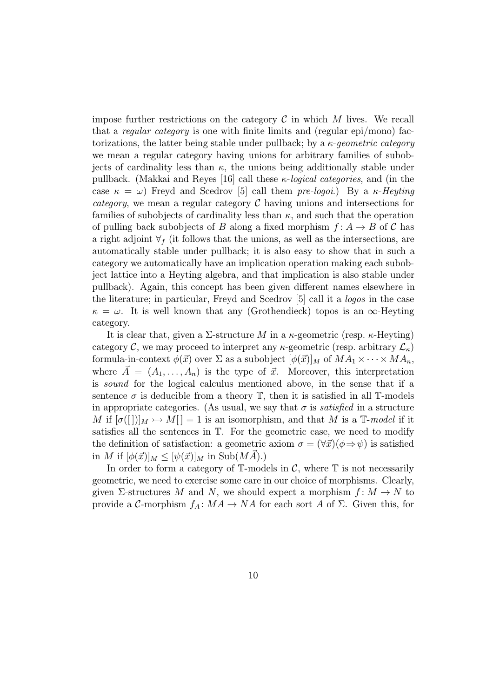impose further restrictions on the category  $\mathcal C$  in which  $M$  lives. We recall that a regular category is one with finite limits and (regular epi/mono) factorizations, the latter being stable under pullback; by a  $\kappa$ -geometric category we mean a regular category having unions for arbitrary families of subobjects of cardinality less than  $\kappa$ , the unions being additionally stable under pullback. (Makkai and Reyes [16] call these  $\kappa$ -*logical categories*, and (in the case  $\kappa = \omega$ ) Freyd and Scedrov [5] call them pre-logoi.) By a  $\kappa$ -Heyting category, we mean a regular category  $\mathcal C$  having unions and intersections for families of subobjects of cardinality less than  $\kappa$ , and such that the operation of pulling back subobjects of B along a fixed morphism  $f: A \rightarrow B$  of C has a right adjoint  $\forall f$  (it follows that the unions, as well as the intersections, are automatically stable under pullback; it is also easy to show that in such a category we automatically have an implication operation making each subobject lattice into a Heyting algebra, and that implication is also stable under pullback). Again, this concept has been given different names elsewhere in the literature; in particular, Freyd and Scedrov [5] call it a logos in the case  $\kappa = \omega$ . It is well known that any (Grothendieck) topos is an  $\infty$ -Heyting category.

It is clear that, given a  $\Sigma$ -structure M in a  $\kappa$ -geometric (resp.  $\kappa$ -Heyting) category C, we may proceed to interpret any  $\kappa$ -geometric (resp. arbitrary  $\mathcal{L}_{\kappa}$ ) formula-in-context  $\phi(\vec{x})$  over  $\Sigma$  as a subobject  $[\phi(\vec{x})]_M$  of  $MA_1 \times \cdots \times MA_n$ , where  $\vec{A} = (A_1, \ldots, A_n)$  is the type of  $\vec{x}$ . Moreover, this interpretation is sound for the logical calculus mentioned above, in the sense that if a sentence  $\sigma$  is deducible from a theory  $\mathbb{T}$ , then it is satisfied in all T-models in appropriate categories. (As usual, we say that  $\sigma$  is *satisfied* in a structure M if  $[\sigma([])]_M \rightarrow M[] = 1$  is an isomorphism, and that M is a T-model if it satisfies all the sentences in T. For the geometric case, we need to modify the definition of satisfaction: a geometric axiom  $\sigma = (\forall \vec{x})(\phi \Rightarrow \psi)$  is satisfied in M if  $[\phi(\vec{x})]_M \leq [\psi(\vec{x})]_M$  in Sub $(MA)$ .)

In order to form a category of  $\mathbb{T}$ -models in  $\mathcal{C}$ , where  $\mathbb{T}$  is not necessarily geometric, we need to exercise some care in our choice of morphisms. Clearly, given  $\Sigma$ -structures M and N, we should expect a morphism  $f: M \to N$  to provide a C-morphism  $f_A: MA \to NA$  for each sort A of  $\Sigma$ . Given this, for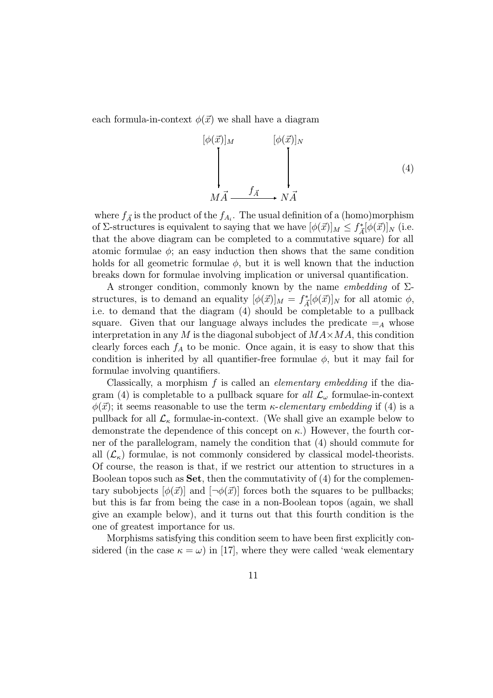each formula-in-context  $\phi(\vec{x})$  we shall have a diagram

$$
\begin{array}{ccc}\n[\phi(\vec{x})]_M & [\phi(\vec{x})]_N \\
\downarrow & & \downarrow \\
M\vec{A} & \xrightarrow{f_{\vec{A}}} & N\vec{A}\n\end{array} \tag{4}
$$

where  $f_{\vec{A}}$  is the product of the  $f_{A_i}$ . The usual definition of a (homo)morphism of Σ-structures is equivalent to saying that we have  $[\phi(\vec{x})]_M \leq f^*_{\vec{A}}[\phi(\vec{x})]_N$  (i.e. that the above diagram can be completed to a commutative square) for all atomic formulae  $\phi$ ; an easy induction then shows that the same condition holds for all geometric formulae  $\phi$ , but it is well known that the induction breaks down for formulae involving implication or universal quantification.

A stronger condition, commonly known by the name *embedding* of  $\Sigma$ structures, is to demand an equality  $[\phi(\vec{x})]_M = f_A^*[\phi(\vec{x})]_N$  for all atomic  $\phi$ , i.e. to demand that the diagram (4) should be completable to a pullback square. Given that our language always includes the predicate  $=_A$  whose interpretation in any M is the diagonal subobject of  $MAXMA$ , this condition clearly forces each  $f_A$  to be monic. Once again, it is easy to show that this condition is inherited by all quantifier-free formulae  $\phi$ , but it may fail for formulae involving quantifiers.

Classically, a morphism  $f$  is called an *elementary embedding* if the diagram (4) is completable to a pullback square for all  $\mathcal{L}_{\omega}$  formulae-in-context  $\phi(\vec{x})$ ; it seems reasonable to use the term *κ*-elementary embedding if (4) is a pullback for all  $\mathcal{L}_{\kappa}$  formulae-in-context. (We shall give an example below to demonstrate the dependence of this concept on  $\kappa$ .) However, the fourth corner of the parallelogram, namely the condition that (4) should commute for all  $(\mathcal{L}_{\kappa})$  formulae, is not commonly considered by classical model-theorists. Of course, the reason is that, if we restrict our attention to structures in a Boolean topos such as  $\mathbf{Set}$ , then the commutativity of  $(4)$  for the complementary subobjects  $[\phi(\vec{x})]$  and  $[\neg \phi(\vec{x})]$  forces both the squares to be pullbacks; but this is far from being the case in a non-Boolean topos (again, we shall give an example below), and it turns out that this fourth condition is the one of greatest importance for us.

Morphisms satisfying this condition seem to have been first explicitly considered (in the case  $\kappa = \omega$ ) in [17], where they were called 'weak elementary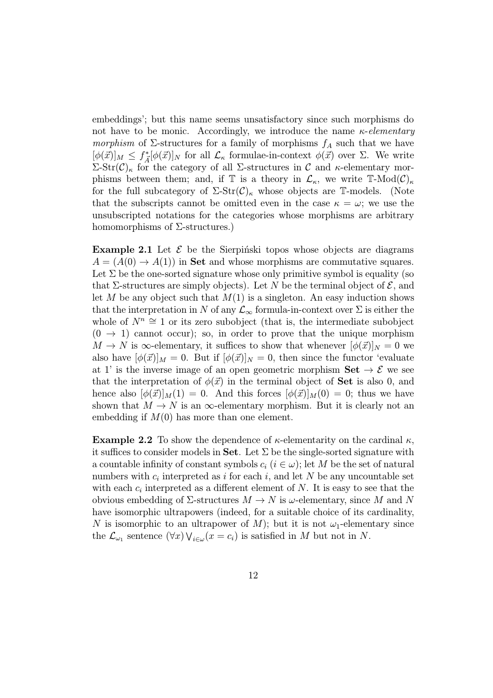embeddings'; but this name seems unsatisfactory since such morphisms do not have to be monic. Accordingly, we introduce the name  $\kappa$ -elementary *morphism* of  $\Sigma$ -structures for a family of morphisms  $f_A$  such that we have  $[\phi(\vec{x})]_M \leq f_A^*[\phi(\vec{x})]_N$  for all  $\mathcal{L}_{\kappa}$  formulae-in-context  $\phi(\vec{x})$  over  $\Sigma$ . We write  $\Sigma\text{-Str}(\mathcal{C})_\kappa$  for the category of all  $\Sigma$ -structures in C and κ-elementary morphisms between them; and, if T is a theory in  $\mathcal{L}_{\kappa}$ , we write T-Mod $(\mathcal{C})_{\kappa}$ for the full subcategory of  $\Sigma\text{-Str}(\mathcal{C})_\kappa$  whose objects are T-models. (Note that the subscripts cannot be omitted even in the case  $\kappa = \omega$ ; we use the unsubscripted notations for the categories whose morphisms are arbitrary homomorphisms of  $\Sigma$ -structures.)

**Example 2.1** Let  $\mathcal{E}$  be the Sierpinski topos whose objects are diagrams  $A = (A(0) \rightarrow A(1))$  in **Set** and whose morphisms are commutative squares. Let  $\Sigma$  be the one-sorted signature whose only primitive symbol is equality (so that Σ-structures are simply objects). Let N be the terminal object of  $\mathcal{E}$ , and let M be any object such that  $M(1)$  is a singleton. An easy induction shows that the interpretation in N of any  $\mathcal{L}_{\infty}$  formula-in-context over  $\Sigma$  is either the whole of  $N^n \cong 1$  or its zero subobject (that is, the intermediate subobject  $(0 \rightarrow 1)$  cannot occur); so, in order to prove that the unique morphism  $M \to N$  is  $\infty$ -elementary, it suffices to show that whenever  $[\phi(\vec{x})]_N = 0$  we also have  $[\phi(\vec{x})]_M = 0$ . But if  $[\phi(\vec{x})]_N = 0$ , then since the functor 'evaluate at 1' is the inverse image of an open geometric morphism  $\textbf{Set} \to \mathcal{E}$  we see that the interpretation of  $\phi(\vec{x})$  in the terminal object of **Set** is also 0, and hence also  $[\phi(\vec{x})]_M(1) = 0$ . And this forces  $[\phi(\vec{x})]_M(0) = 0$ ; thus we have shown that  $M \to N$  is an  $\infty$ -elementary morphism. But it is clearly not an embedding if  $M(0)$  has more than one element.

**Example 2.2** To show the dependence of  $\kappa$ -elementarity on the cardinal  $\kappa$ , it suffices to consider models in Set. Let  $\Sigma$  be the single-sorted signature with a countable infinity of constant symbols  $c_i$  ( $i \in \omega$ ); let M be the set of natural numbers with  $c_i$  interpreted as i for each i, and let N be any uncountable set with each  $c_i$  interpreted as a different element of N. It is easy to see that the obvious embedding of  $\Sigma$ -structures  $M \to N$  is  $\omega$ -elementary, since M and N have isomorphic ultrapowers (indeed, for a suitable choice of its cardinality, N is isomorphic to an ultrapower of M); but it is not  $\omega_1$ -elementary since the  $\mathcal{L}_{\omega_1}$  sentence  $(\forall x) \vee_{i \in \omega} (x = c_i)$  is satisfied in M but not in N.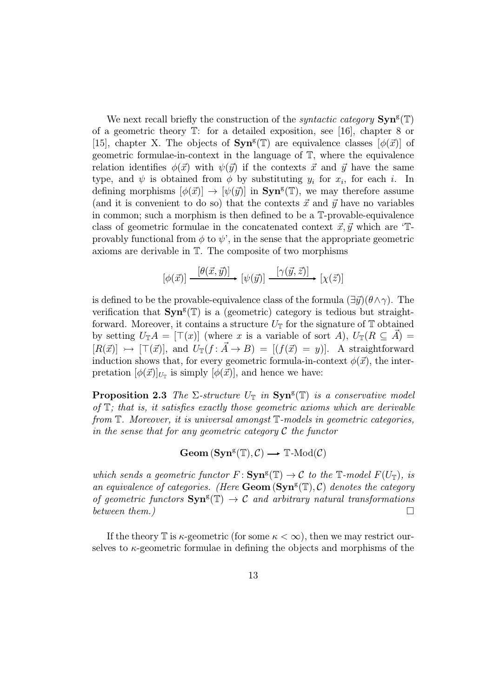We next recall briefly the construction of the *syntactic category*  $\text{Syn}^g(\mathbb{T})$ of a geometric theory T: for a detailed exposition, see [16], chapter 8 or [15], chapter X. The objects of  $\text{Syn}^g(\mathbb{T})$  are equivalence classes  $[\phi(\vec{x})]$  of geometric formulae-in-context in the language of T, where the equivalence relation identifies  $\phi(\vec{x})$  with  $\psi(\vec{y})$  if the contexts  $\vec{x}$  and  $\vec{y}$  have the same type, and  $\psi$  is obtained from  $\phi$  by substituting  $y_i$  for  $x_i$ , for each i. In defining morphisms  $[\phi(\vec{x})] \to [\psi(\vec{y})]$  in  $\text{Sym}^g(\mathbb{T})$ , we may therefore assume (and it is convenient to do so) that the contexts  $\vec{x}$  and  $\vec{y}$  have no variables in common; such a morphism is then defined to be a T-provable-equivalence class of geometric formulae in the concatenated context  $\vec{x}, \vec{y}$  which are 'Tprovably functional from  $\phi$  to  $\psi'$ , in the sense that the appropriate geometric axioms are derivable in T. The composite of two morphisms

$$
[\phi(\vec{x})] \xrightarrow{[\theta(\vec{x}, \vec{y})]} [\psi(\vec{y})] \xrightarrow{[\gamma(\vec{y}, \vec{z})]} [\chi(\vec{z})]
$$

is defined to be the provable-equivalence class of the formula  $(\exists \vec{y})(\theta \wedge \gamma)$ . The verification that  $\text{Syn}^g(\mathbb{T})$  is a (geometric) category is tedious but straightforward. Moreover, it contains a structure  $U_{\mathbb{T}}$  for the signature of  $\mathbb{T}$  obtained by setting  $U_{\mathbb{T}}A = [\top(x)]$  (where x is a variable of sort A),  $U_{\mathbb{T}}(R \subseteq A)$  $[R(\vec{x})] \rightarrow [\top(\vec{x})]$ , and  $U_{\mathbb{T}}(f : \vec{A} \rightarrow B) = [(f(\vec{x}) = y)]$ . A straightforward induction shows that, for every geometric formula-in-context  $\phi(\vec{x})$ , the interpretation  $[\phi(\vec{x})]_{U_T}$  is simply  $[\phi(\vec{x})]$ , and hence we have:

**Proposition 2.3** The  $\Sigma$ -structure  $U_{\mathbb{T}}$  in  $\text{Syn}^g(\mathbb{T})$  is a conservative model of  $\mathbb{T}$ ; that is, it satisfies exactly those geometric axioms which are derivable from T. Moreover, it is universal amongst T-models in geometric categories, in the sense that for any geometric category  $\mathcal C$  the functor

 $\mathbf{Geom}\left(\mathbf{Syn}^{\text{g}}(\mathbb{T}),\mathcal{C}\right)\longrightarrow \mathbb{T}\text{-}\mathrm{Mod}(\mathcal{C})$ 

which sends a geometric functor  $F: \text{Sym}^g(\mathbb{T}) \to \mathcal{C}$  to the  $\mathbb{T}\text{-model } F(U_{\mathbb{T}})$ , is an equivalence of categories. (Here  $\mathbf{Geom}(\mathbf{Syn}^g(\mathbb{T}), \mathcal{C})$  denotes the category of geometric functors  $\text{Syn}^g(\mathbb{T}) \to \mathcal{C}$  and arbitrary natural transformations between them.)  $\Box$ 

If the theory  $\mathbb T$  is  $\kappa$ -geometric (for some  $\kappa < \infty$ ), then we may restrict ourselves to κ-geometric formulae in defining the objects and morphisms of the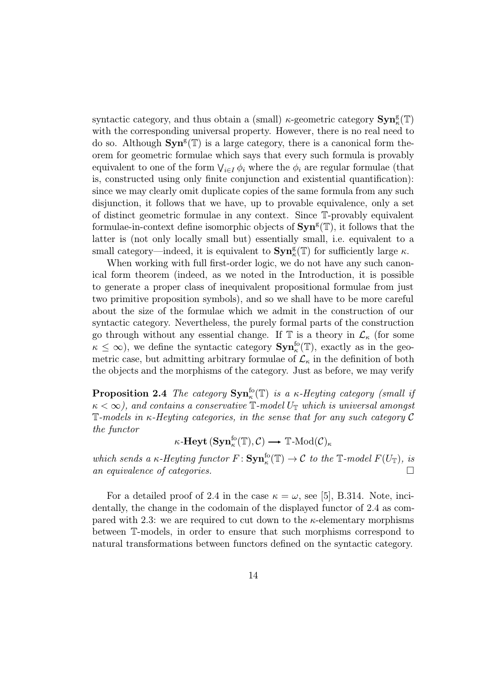syntactic category, and thus obtain a (small)  $\kappa$ -geometric category  $\textbf{Syn}^{\text{g}}_{\kappa}(\mathbb{T})$ with the corresponding universal property. However, there is no real need to do so. Although  $\text{Syn}^g(\mathbb{T})$  is a large category, there is a canonical form theorem for geometric formulae which says that every such formula is provably equivalent to one of the form  $\bigvee_{i \in I} \phi_i$  where the  $\phi_i$  are regular formulae (that is, constructed using only finite conjunction and existential quantification): since we may clearly omit duplicate copies of the same formula from any such disjunction, it follows that we have, up to provable equivalence, only a set of distinct geometric formulae in any context. Since T-provably equivalent formulae-in-context define isomorphic objects of  $\text{Syn}^g(\mathbb{T})$ , it follows that the latter is (not only locally small but) essentially small, i.e. equivalent to a small category—indeed, it is equivalent to  $\text{Syn}_\kappa^{\text{g}}(\mathbb{T})$  for sufficiently large  $\kappa$ .

When working with full first-order logic, we do not have any such canonical form theorem (indeed, as we noted in the Introduction, it is possible to generate a proper class of inequivalent propositional formulae from just two primitive proposition symbols), and so we shall have to be more careful about the size of the formulae which we admit in the construction of our syntactic category. Nevertheless, the purely formal parts of the construction go through without any essential change. If  $\mathbb T$  is a theory in  $\mathcal L_{\kappa}$  (for some  $\kappa \leq \infty$ ), we define the syntactic category  $\text{Syn}_\kappa^{\text{fo}}(\mathbb{T})$ , exactly as in the geometric case, but admitting arbitrary formulae of  $\mathcal{L}_{\kappa}$  in the definition of both the objects and the morphisms of the category. Just as before, we may verify

**Proposition 2.4** The category  $\text{Syn}_\kappa^{\text{fo}}(\mathbb{T})$  is a  $\kappa$ -Heyting category (small if  $\kappa < \infty$ ), and contains a conservative  $\mathbb{T}$ -model  $U_{\mathbb{T}}$  which is universal amongst  $\mathbb{T}\text{-models}$  in  $\kappa$ -Heyting categories, in the sense that for any such category  $\mathcal C$ the functor

$$
\kappa\text{-}{\bf Heyt}\,({\bf Syn}^{\rm fo}_{\kappa}(\mathbb{T}),{\cal C})\longrightarrow \mathbb{T}\text{-}{\rm Mod}({\cal C})_\kappa
$$

which sends a  $\kappa$ -Heyting functor  $F: \text{Sym}^{\text{fo}}_{\kappa}(\mathbb{T}) \to \mathcal{C}$  to the  $\mathbb{T}$ -model  $F(U_{\mathbb{T}})$ , is an equivalence of categories.  $\Box$ 

For a detailed proof of 2.4 in the case  $\kappa = \omega$ , see [5], B.314. Note, incidentally, the change in the codomain of the displayed functor of 2.4 as compared with 2.3: we are required to cut down to the  $\kappa$ -elementary morphisms between T-models, in order to ensure that such morphisms correspond to natural transformations between functors defined on the syntactic category.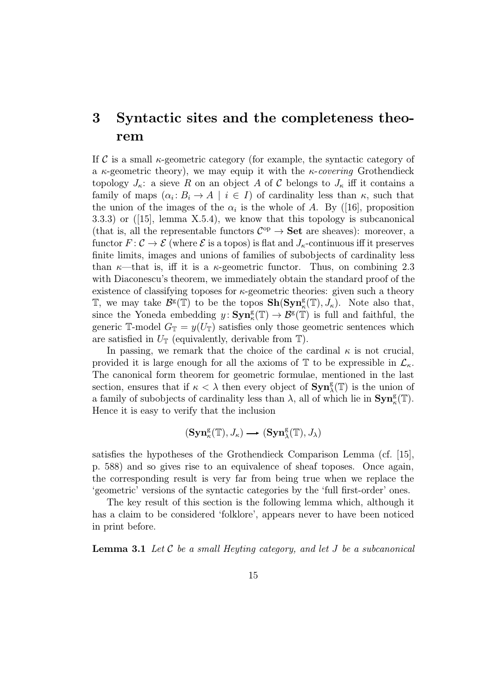## 3 Syntactic sites and the completeness theorem

If C is a small  $\kappa$ -geometric category (for example, the syntactic category of a  $\kappa$ -geometric theory), we may equip it with the  $\kappa$ -covering Grothendieck topology  $J_{\kappa}$ : a sieve R on an object A of C belongs to  $J_{\kappa}$  iff it contains a family of maps  $(\alpha_i : B_i \to A \mid i \in I)$  of cardinality less than  $\kappa$ , such that the union of the images of the  $\alpha_i$  is the whole of A. By ([16], proposition 3.3.3) or  $([15]$ , lemma X.5.4), we know that this topology is subcanonical (that is, all the representable functors  $\mathcal{C}^{op} \to \mathbf{Set}$  are sheaves): moreover, a functor  $F: \mathcal{C} \to \mathcal{E}$  (where  $\mathcal{E}$  is a topos) is flat and  $J_k$ -continuous iff it preserves finite limits, images and unions of families of subobjects of cardinality less than  $\kappa$ —that is, iff it is a  $\kappa$ -geometric functor. Thus, on combining 2.3 with Diaconescu's theorem, we immediately obtain the standard proof of the existence of classifying toposes for  $\kappa$ -geometric theories: given such a theory T, we may take  $\mathcal{B}^{\mathsf{g}}(\mathbb{T})$  to be the topos  $\mathbf{Sh}(\mathbf{Syn}_{\kappa}^{\mathsf{g}}(\mathbb{T}), J_{\kappa})$ . Note also that, since the Yoneda embedding  $y: \text{Sym}_{\kappa}^{\text{g}}(\mathbb{T}) \to \mathcal{B}^{\text{g}}(\mathbb{T})$  is full and faithful, the generic T-model  $G_{\mathbb{T}} = y(U_{\mathbb{T}})$  satisfies only those geometric sentences which are satisfied in  $U_{\mathbb{T}}$  (equivalently, derivable from  $\mathbb{T}$ ).

In passing, we remark that the choice of the cardinal  $\kappa$  is not crucial, provided it is large enough for all the axioms of  $\mathbb T$  to be expressible in  $\mathcal L_{\kappa}$ . The canonical form theorem for geometric formulae, mentioned in the last section, ensures that if  $\kappa < \lambda$  then every object of  $\text{Syn}_\lambda^g(\mathbb{T})$  is the union of a family of subobjects of cardinality less than  $\lambda$ , all of which lie in  $\text{Syn}_\kappa^g(\mathbb{T})$ . Hence it is easy to verify that the inclusion

$$
(\mathbf{Syn}_{\kappa}^{\rm g}(\mathbb{T}),J_{\kappa})\longrightarrow (\mathbf{Syn}_{\lambda}^{\rm g}(\mathbb{T}),J_{\lambda})
$$

satisfies the hypotheses of the Grothendieck Comparison Lemma (cf. [15], p. 588) and so gives rise to an equivalence of sheaf toposes. Once again, the corresponding result is very far from being true when we replace the 'geometric' versions of the syntactic categories by the 'full first-order' ones.

The key result of this section is the following lemma which, although it has a claim to be considered 'folklore', appears never to have been noticed in print before.

**Lemma 3.1** Let  $\mathcal C$  be a small Heyting category, and let  $J$  be a subcanonical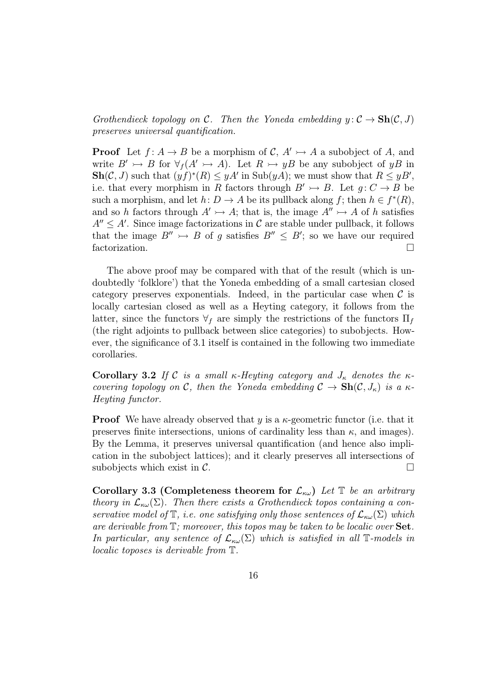Grothendieck topology on C. Then the Yoneda embedding  $y: \mathcal{C} \to \mathbf{Sh}(\mathcal{C}, J)$ preserves universal quantification.

**Proof** Let  $f: A \to B$  be a morphism of  $C, A' \to A$  a subobject of A, and write  $B' \rightarrow B$  for  $\forall f (A' \rightarrow A)$ . Let  $R \rightarrow yB$  be any subobject of yB in  $\text{Sh}(\mathcal{C}, J)$  such that  $(yf)^*(R) \leq yA'$  in  $\text{Sub}(yA)$ ; we must show that  $R \leq yB'$ , i.e. that every morphism in R factors through  $B' \rightarrow B$ . Let  $g: C \rightarrow B$  be such a morphism, and let  $h: D \to A$  be its pullback along f; then  $h \in f^*(R)$ , and so h factors through  $A' \rightarrowtail A$ ; that is, the image  $A'' \rightarrowtail A$  of h satisfies  $A'' \leq A'$ . Since image factorizations in C are stable under pullback, it follows that the image  $B'' \rightarrow B$  of g satisfies  $B'' \leq B'$ ; so we have our required factorization.

The above proof may be compared with that of the result (which is undoubtedly 'folklore') that the Yoneda embedding of a small cartesian closed category preserves exponentials. Indeed, in the particular case when  $\mathcal C$  is locally cartesian closed as well as a Heyting category, it follows from the latter, since the functors  $\forall_f$  are simply the restrictions of the functors  $\Pi_f$ (the right adjoints to pullback between slice categories) to subobjects. However, the significance of 3.1 itself is contained in the following two immediate corollaries.

Corollary 3.2 If C is a small  $\kappa$ -Heyting category and  $J_{\kappa}$  denotes the  $\kappa$ covering topology on C, then the Yoneda embedding  $C \to Sh(C, J_{\kappa})$  is a  $\kappa$ -Heyting functor.

**Proof** We have already observed that y is a  $\kappa$ -geometric functor (i.e. that it preserves finite intersections, unions of cardinality less than  $\kappa$ , and images). By the Lemma, it preserves universal quantification (and hence also implication in the subobject lattices); and it clearly preserves all intersections of subobjects which exist in  $\mathcal{C}$ .

Corollary 3.3 (Completeness theorem for  $\mathcal{L}_{\kappa\omega}$ ) Let  $\mathbb T$  be an arbitrary theory in  $\mathcal{L}_{\kappa\omega}(\Sigma)$ . Then there exists a Grothendieck topos containing a conservative model of  $\mathbb T$ , i.e. one satisfying only those sentences of  $\mathcal L_{\kappa\omega}(\Sigma)$  which are derivable from  $\mathbb{T}$ ; moreover, this topos may be taken to be localic over  $\mathbf{Set}$ . In particular, any sentence of  $\mathcal{L}_{\kappa\omega}(\Sigma)$  which is satisfied in all T-models in localic toposes is derivable from T.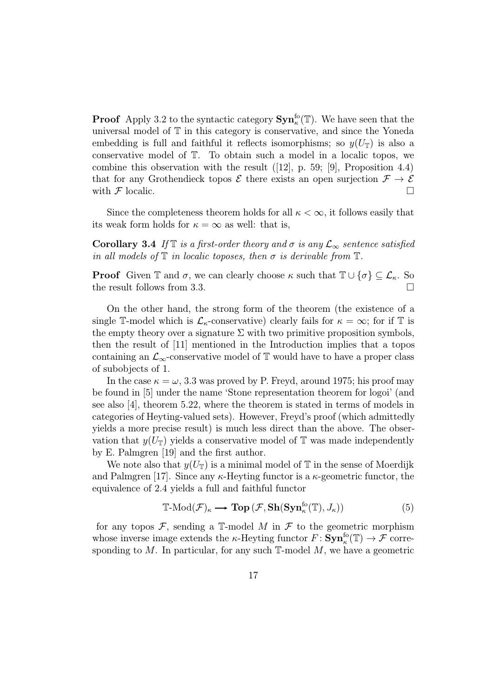**Proof** Apply 3.2 to the syntactic category  $\text{Syn}_\kappa^{\text{fo}}(\mathbb{T})$ . We have seen that the universal model of T in this category is conservative, and since the Yoneda embedding is full and faithful it reflects isomorphisms; so  $y(U_T)$  is also a conservative model of T. To obtain such a model in a localic topos, we combine this observation with the result  $([12], p. 59; [9],$  Proposition 4.4) that for any Grothendieck topos  $\mathcal E$  there exists an open surjection  $\mathcal F\to\mathcal E$ with  $\mathcal F$  localic.

Since the completeness theorem holds for all  $\kappa < \infty$ , it follows easily that its weak form holds for  $\kappa = \infty$  as well: that is,

Corollary 3.4 If  $\mathbb T$  is a first-order theory and  $\sigma$  is any  $\mathcal L_{\infty}$  sentence satisfied in all models of  $\mathbb T$  in localic toposes, then  $\sigma$  is derivable from  $\mathbb T$ .

**Proof** Given  $\mathbb{T}$  and  $\sigma$ , we can clearly choose  $\kappa$  such that  $\mathbb{T} \cup \{\sigma\} \subseteq \mathcal{L}_{\kappa}$ . So the result follows from 3.3.

On the other hand, the strong form of the theorem (the existence of a single T-model which is  $\mathcal{L}_{\kappa}$ -conservative) clearly fails for  $\kappa = \infty$ ; for if T is the empty theory over a signature  $\Sigma$  with two primitive proposition symbols, then the result of [11] mentioned in the Introduction implies that a topos containing an  $\mathcal{L}_{\infty}$ -conservative model of T would have to have a proper class of subobjects of 1.

In the case  $\kappa = \omega$ , 3.3 was proved by P. Freyd, around 1975; his proof may be found in [5] under the name 'Stone representation theorem for logoi' (and see also [4], theorem 5.22, where the theorem is stated in terms of models in categories of Heyting-valued sets). However, Freyd's proof (which admittedly yields a more precise result) is much less direct than the above. The observation that  $y(U_T)$  yields a conservative model of T was made independently by E. Palmgren [19] and the first author.

We note also that  $y(U_T)$  is a minimal model of T in the sense of Moerdijk and Palmgren [17]. Since any  $\kappa$ -Heyting functor is a  $\kappa$ -geometric functor, the equivalence of 2.4 yields a full and faithful functor

$$
\mathbb{T}\text{-Mod}(\mathcal{F})_{\kappa} \longrightarrow \textbf{Top}\left(\mathcal{F}, \textbf{Sh}(\textbf{Syn}_{\kappa}^{\text{fo}}(\mathbb{T}), J_{\kappa})\right) \tag{5}
$$

for any topos  $\mathcal{F}$ , sending a T-model M in  $\mathcal{F}$  to the geometric morphism whose inverse image extends the  $\kappa$ -Heyting functor  $F: \mathbf{Syn}^{\mathrm{fo}}_\kappa(\mathbb{T}) \to \mathcal{F}$  corresponding to  $M$ . In particular, for any such  $\mathbb{T}$ -model  $M$ , we have a geometric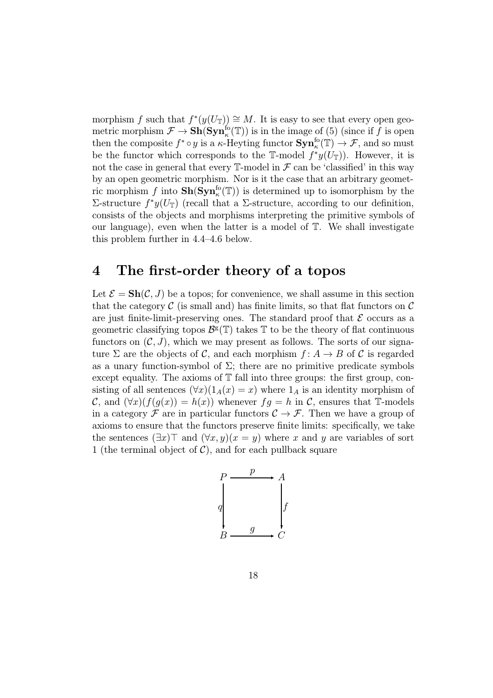morphism f such that  $f^*(y(U_{\mathbb{T}})) \cong M$ . It is easy to see that every open geometric morphism  $\mathcal{F} \to \mathbf{Sh}(\mathbf{Syn}_\kappa^{\text{fo}}(\mathbb{T}))$  is in the image of (5) (since if f is open then the composite  $f^* \circ y$  is a  $\kappa$ -Heyting functor  $\text{Syn}_\kappa^{\text{fo}}(\mathbb{T}) \to \mathcal{F}$ , and so must be the functor which corresponds to the T-model  $f^*y(U_{\mathbb{T}})$ . However, it is not the case in general that every  $\mathbb{T}\text{-model}$  in  $\mathcal F$  can be 'classified' in this way by an open geometric morphism. Nor is it the case that an arbitrary geometric morphism f into  $\mathbf{Sh}(\mathbf{Syn}_\kappa^{\text{fo}}(\mathbb{T}))$  is determined up to isomorphism by the Σ-structure  $f^*y(U_T)$  (recall that a Σ-structure, according to our definition, consists of the objects and morphisms interpreting the primitive symbols of our language), even when the latter is a model of  $\mathbb{T}$ . We shall investigate this problem further in 4.4–4.6 below.

### 4 The first-order theory of a topos

Let  $\mathcal{E} = \mathbf{Sh}(\mathcal{C}, J)$  be a topos; for convenience, we shall assume in this section that the category  $\mathcal C$  (is small and) has finite limits, so that flat functors on  $\mathcal C$ are just finite-limit-preserving ones. The standard proof that  $\mathcal E$  occurs as a geometric classifying topos  $\mathcal{B}^g(\mathbb{T})$  takes  $\mathbb T$  to be the theory of flat continuous functors on  $(C, J)$ , which we may present as follows. The sorts of our signature  $\Sigma$  are the objects of C, and each morphism  $f: A \rightarrow B$  of C is regarded as a unary function-symbol of  $\Sigma$ ; there are no primitive predicate symbols except equality. The axioms of  $T$  fall into three groups: the first group, consisting of all sentences  $(\forall x)(1_A(x) = x)$  where  $1_A$  is an identity morphism of C, and  $(\forall x)(f(g(x)) = h(x))$  whenever  $fg = h$  in C, ensures that T-models in a category  $\mathcal F$  are in particular functors  $\mathcal C \to \mathcal F$ . Then we have a group of axioms to ensure that the functors preserve finite limits: specifically, we take the sentences  $(\exists x)$ <sup>T</sup> and  $(\forall x, y)(x = y)$  where x and y are variables of sort 1 (the terminal object of  $C$ ), and for each pullback square

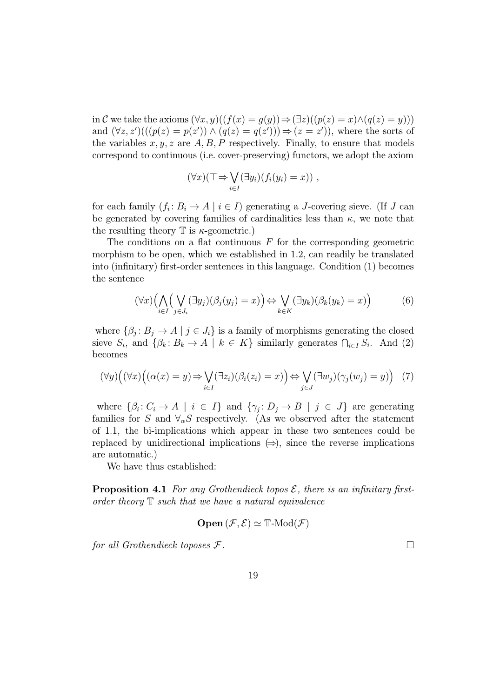in C we take the axioms  $(\forall x, y)((f(x) = g(y)) \Rightarrow (\exists z)((p(z) = x) \land (q(z) = y)))$ and  $(\forall z, z')(((p(z) = p(z')) \land (q(z) = q(z'))) \Rightarrow (z = z'))$ , where the sorts of the variables  $x, y, z$  are  $A, B, P$  respectively. Finally, to ensure that models correspond to continuous (i.e. cover-preserving) functors, we adopt the axiom

$$
(\forall x)(\top \Rightarrow \bigvee_{i \in I} (\exists y_i)(f_i(y_i) = x)) ,
$$

for each family  $(f_i: B_i \to A \mid i \in I)$  generating a J-covering sieve. (If J can be generated by covering families of cardinalities less than  $\kappa$ , we note that the resulting theory  $\mathbb T$  is  $\kappa$ -geometric.)

The conditions on a flat continuous  $F$  for the corresponding geometric morphism to be open, which we established in 1.2, can readily be translated into (infinitary) first-order sentences in this language. Condition (1) becomes the sentence

$$
(\forall x) \Big( \bigwedge_{i \in I} \Big( \bigvee_{j \in J_i} (\exists y_j) (\beta_j(y_j) = x) \Big) \Leftrightarrow \bigvee_{k \in K} (\exists y_k) (\beta_k(y_k) = x) \Big) \tag{6}
$$

where  $\{\beta_i: B_i \to A \mid j \in J_i\}$  is a family of morphisms generating the closed sieve  $S_i$ , and  $\{\beta_k: B_k \to A \mid k \in K\}$  similarly generates  $\bigcap_{i \in I} S_i$ . And (2) becomes

$$
(\forall y) \Big( (\forall x) \Big( (\alpha(x) = y) \Rightarrow \bigvee_{i \in I} (\exists z_i) (\beta_i(z_i) = x) \Big) \Leftrightarrow \bigvee_{j \in J} (\exists w_j) (\gamma_j(w_j) = y) \Big) \tag{7}
$$

where  $\{\beta_i: C_i \to A \mid i \in I\}$  and  $\{\gamma_j: D_j \to B \mid j \in J\}$  are generating families for S and  $\forall_{\alpha} S$  respectively. (As we observed after the statement of 1.1, the bi-implications which appear in these two sentences could be replaced by unidirectional implications  $(\Rightarrow)$ , since the reverse implications are automatic.)

We have thus established:

**Proposition 4.1** For any Grothendieck topos  $\mathcal{E}$ , there is an infinitary firstorder theory  $\mathbb T$  such that we have a natural equivalence

$$
\mathbf{Open}(\mathcal{F}, \mathcal{E}) \simeq \mathbb{T}\text{-}\mathrm{Mod}(\mathcal{F})
$$

for all Grothendieck toposes  $\mathcal{F}$ .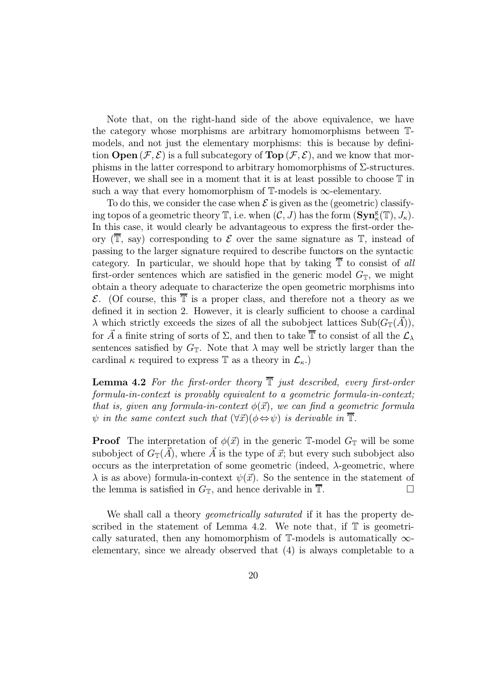Note that, on the right-hand side of the above equivalence, we have the category whose morphisms are arbitrary homomorphisms between Tmodels, and not just the elementary morphisms: this is because by definition **Open**  $(\mathcal{F}, \mathcal{E})$  is a full subcategory of **Top**  $(\mathcal{F}, \mathcal{E})$ , and we know that morphisms in the latter correspond to arbitrary homomorphisms of  $\Sigma$ -structures. However, we shall see in a moment that it is at least possible to choose  $T$  in such a way that every homomorphism of  $\mathbb{T}$ -models is  $\infty$ -elementary.

To do this, we consider the case when  $\mathcal E$  is given as the (geometric) classifying topos of a geometric theory  $\mathbb{T}$ , i.e. when  $(\mathcal{C}, J)$  has the form  $(\mathbf{Syn}_\kappa^{\mathsf{g}}(\mathbb{T}), J_\kappa)$ . In this case, it would clearly be advantageous to express the first-order theory  $(\overline{T}, \text{ say})$  corresponding to  $\mathcal E$  over the same signature as  $T$ , instead of passing to the larger signature required to describe functors on the syntactic category. In particular, we should hope that by taking  $\overline{T}$  to consist of all first-order sentences which are satisfied in the generic model  $G_{\mathbb{T}}$ , we might obtain a theory adequate to characterize the open geometric morphisms into  $\mathcal{E}$ . (Of course, this  $\overline{\mathbb{T}}$  is a proper class, and therefore not a theory as we defined it in section 2. However, it is clearly sufficient to choose a cardinal  $\lambda$  which strictly exceeds the sizes of all the subobject lattices Sub $(G_{\mathbb{T}}(A)),$ for  $\vec{A}$  a finite string of sorts of  $\Sigma$ , and then to take  $\overline{\mathbb{T}}$  to consist of all the  $\mathcal{L}_{\lambda}$ sentences satisfied by  $G_{\mathbb{T}}$ . Note that  $\lambda$  may well be strictly larger than the cardinal  $\kappa$  required to express T as a theory in  $\mathcal{L}_{\kappa}$ .

**Lemma 4.2** For the first-order theory  $\overline{T}$  just described, every first-order formula-in-context is provably equivalent to a geometric formula-in-context; that is, given any formula-in-context  $\phi(\vec{x})$ , we can find a geometric formula  $\psi$  in the same context such that  $(\forall \vec{x})(\phi \Leftrightarrow \psi)$  is derivable in  $\mathbb{T}$ .

**Proof** The interpretation of  $\phi(\vec{x})$  in the generic T-model  $G_{\mathbb{T}}$  will be some subobject of  $G_{\mathbb{T}}(\vec{A})$ , where  $\vec{A}$  is the type of  $\vec{x}$ ; but every such subobject also occurs as the interpretation of some geometric (indeed,  $\lambda$ -geometric, where  $\lambda$  is as above) formula-in-context  $\psi(\vec{x})$ . So the sentence in the statement of the lemma is satisfied in  $G_{\mathbb{T}}$ , and hence derivable in  $\overline{\mathbb{T}}$ .

We shall call a theory *geometrically saturated* if it has the property described in the statement of Lemma 4.2. We note that, if  $\mathbb T$  is geometrically saturated, then any homomorphism of  $\mathbb{T}\text{-models}$  is automatically  $\infty$ elementary, since we already observed that (4) is always completable to a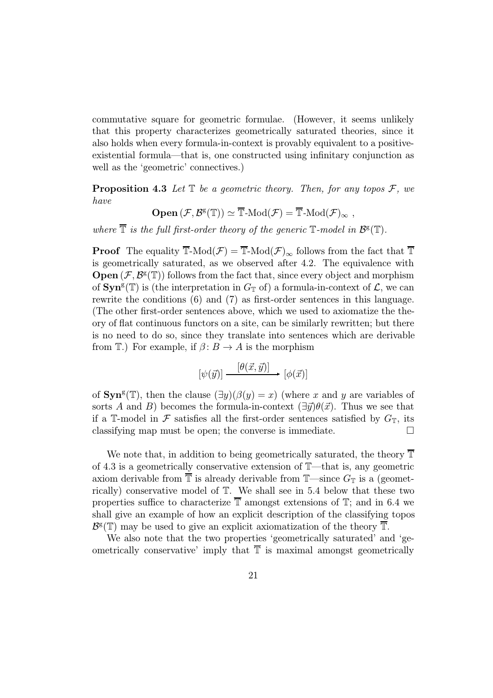commutative square for geometric formulae. (However, it seems unlikely that this property characterizes geometrically saturated theories, since it also holds when every formula-in-context is provably equivalent to a positiveexistential formula—that is, one constructed using infinitary conjunction as well as the 'geometric' connectives.)

**Proposition 4.3** Let  $\mathbb T$  be a geometric theory. Then, for any topos  $\mathcal F$ , we have

 $\mathbf{Open}\left(\mathcal{F},\mathcal{B}^{\mathrm{g}}(\mathbb{T})\right) \simeq \overline{\mathbb{T}}\text{-}\mathrm{Mod}(\mathcal{F}) = \overline{\mathbb{T}}\text{-}\mathrm{Mod}(\mathcal{F})_{\infty} ,$ 

where  $\overline{\mathbb{T}}$  is the full first-order theory of the generic  $\mathbb{T}$ -model in  $\mathcal{B}^{\mathsf{g}}(\mathbb{T})$ .

**Proof** The equality  $\overline{\mathbb{T}}$ -Mod $(\mathcal{F}) = \overline{\mathbb{T}}$ -Mod $(\mathcal{F})_{\infty}$  follows from the fact that  $\overline{\mathbb{T}}$ is geometrically saturated, as we observed after 4.2. The equivalence with **Open**  $(\mathcal{F}, \mathcal{B}^g(\mathbb{T}))$  follows from the fact that, since every object and morphism of  $\text{Syn}^g(\mathbb{T})$  is (the interpretation in  $G_{\mathbb{T}}$  of) a formula-in-context of  $\mathcal{L}$ , we can rewrite the conditions (6) and (7) as first-order sentences in this language. (The other first-order sentences above, which we used to axiomatize the theory of flat continuous functors on a site, can be similarly rewritten; but there is no need to do so, since they translate into sentences which are derivable from T.) For example, if  $\beta: B \to A$  is the morphism

$$
[\psi(\vec{y})] \xrightarrow{[\theta(\vec{x}, \vec{y})]} [\phi(\vec{x})]
$$

of  $\text{Sym}^g(\mathbb{T})$ , then the clause  $(\exists y)(\beta(y) = x)$  (where x and y are variables of sorts A and B) becomes the formula-in-context  $(\exists \vec{y})\theta(\vec{x})$ . Thus we see that if a T-model in F satisfies all the first-order sentences satisfied by  $G_{\mathbb{T}}$ , its classifying map must be open; the converse is immediate.  $\Box$ 

We note that, in addition to being geometrically saturated, the theory  $\overline{\mathbb{T}}$ of 4.3 is a geometrically conservative extension of T—that is, any geometric axiom derivable from  $\overline{\mathbb{T}}$  is already derivable from  $\mathbb{T}$ —since  $G_{\mathbb{T}}$  is a (geometrically) conservative model of T. We shall see in 5.4 below that these two properties suffice to characterize  $\overline{\mathbb{T}}$  amongst extensions of  $\mathbb{T}$ ; and in 6.4 we shall give an example of how an explicit description of the classifying topos  $\mathcal{B}^{\mathsf{g}}(\mathbb{T})$  may be used to give an explicit axiomatization of the theory  $\overline{\mathbb{T}}$ .

We also note that the two properties 'geometrically saturated' and 'geometrically conservative' imply that  $\overline{\mathbb{T}}$  is maximal amongst geometrically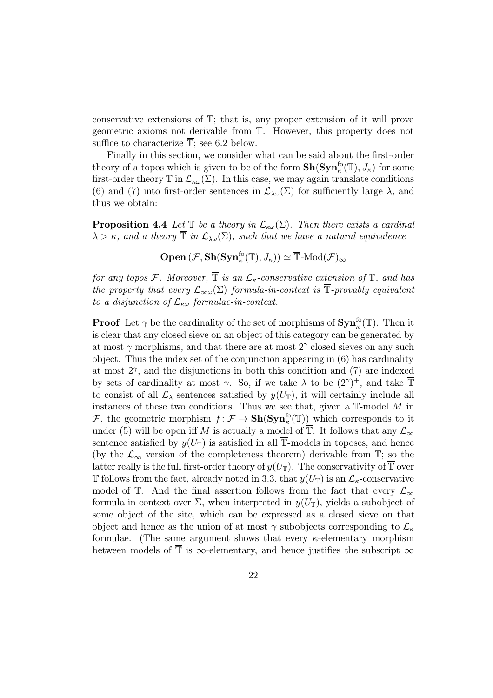conservative extensions of T; that is, any proper extension of it will prove geometric axioms not derivable from T. However, this property does not suffice to characterize  $\overline{\mathbb{T}}$ ; see 6.2 below.

Finally in this section, we consider what can be said about the first-order theory of a topos which is given to be of the form  $\mathbf{Sh}(\mathbf{Syn}^{\text{fo}}_{\kappa}(\mathbb{T}), J_{\kappa})$  for some first-order theory  $\mathbb T$  in  $\mathcal L_{\kappa\omega}(\Sigma)$ . In this case, we may again translate conditions (6) and (7) into first-order sentences in  $\mathcal{L}_{\lambda\omega}(\Sigma)$  for sufficiently large  $\lambda$ , and thus we obtain:

**Proposition 4.4** Let  $\mathbb{T}$  be a theory in  $\mathcal{L}_{\kappa\omega}(\Sigma)$ . Then there exists a cardinal  $\lambda > \kappa$ , and a theory  $\overline{T}$  in  $\mathcal{L}_{\lambda \omega}(\Sigma)$ , such that we have a natural equivalence

 $\mathbf{Open}\left(\mathcal{F},\mathbf{Sh}(\mathbf{Syn}^{\text{fo}}_{\kappa}(\mathbb{T}),J_{\kappa})\right) \simeq \overline{\mathbb{T}}\text{-}\mathrm{Mod}(\mathcal{F})_{\infty}$ 

for any topos F. Moreover,  $\overline{\mathbb{T}}$  is an  $\mathcal{L}_{\kappa}$ -conservative extension of  $\mathbb{T}$ , and has the property that every  $\mathcal{L}_{\infty}(\Sigma)$  formula-in-context is  $\overline{\mathbb{T}}$ -provably equivalent to a disjunction of  $\mathcal{L}_{\kappa\omega}$  formulae-in-context.

**Proof** Let  $\gamma$  be the cardinality of the set of morphisms of  $\text{Syn}_\kappa^{\text{fo}}(\mathbb{T})$ . Then it is clear that any closed sieve on an object of this category can be generated by at most  $\gamma$  morphisms, and that there are at most  $2^{\gamma}$  closed sieves on any such object. Thus the index set of the conjunction appearing in (6) has cardinality at most  $2^{\gamma}$ , and the disjunctions in both this condition and (7) are indexed by sets of cardinality at most  $\gamma$ . So, if we take  $\lambda$  to be  $(2^{\gamma})^+$ , and take  $\overline{T}$ to consist of all  $\mathcal{L}_{\lambda}$  sentences satisfied by  $y(U_{\mathbb{T}})$ , it will certainly include all instances of these two conditions. Thus we see that, given a  $\mathbb T\text{-model }M$  in F, the geometric morphism  $f: \mathcal{F} \to \mathbf{Sh}(\mathbf{Syn}_\kappa^{\text{fo}}(\mathbb{T}))$  which corresponds to it under (5) will be open iff M is actually a model of  $\overline{\mathbb{T}}$ . It follows that any  $\mathcal{L}_{\infty}$ sentence satisfied by  $y(U_T)$  is satisfied in all  $\overline{T}$ -models in toposes, and hence (by the  $\mathcal{L}_{\infty}$  version of the completeness theorem) derivable from  $\overline{\mathbb{T}}$ ; so the latter really is the full first-order theory of  $y(U_T)$ . The conservativity of  $\overline{T}$  over T follows from the fact, already noted in 3.3, that  $y(U_T)$  is an  $\mathcal{L}_{\kappa}$ -conservative model of T. And the final assertion follows from the fact that every  $\mathcal{L}_{\infty}$ formula-in-context over  $\Sigma$ , when interpreted in  $y(U_T)$ , yields a subobject of some object of the site, which can be expressed as a closed sieve on that object and hence as the union of at most  $\gamma$  subobjects corresponding to  $\mathcal{L}_{\kappa}$ formulae. (The same argument shows that every  $\kappa$ -elementary morphism between models of  $\overline{\mathbb{T}}$  is  $\infty$ -elementary, and hence justifies the subscript  $\infty$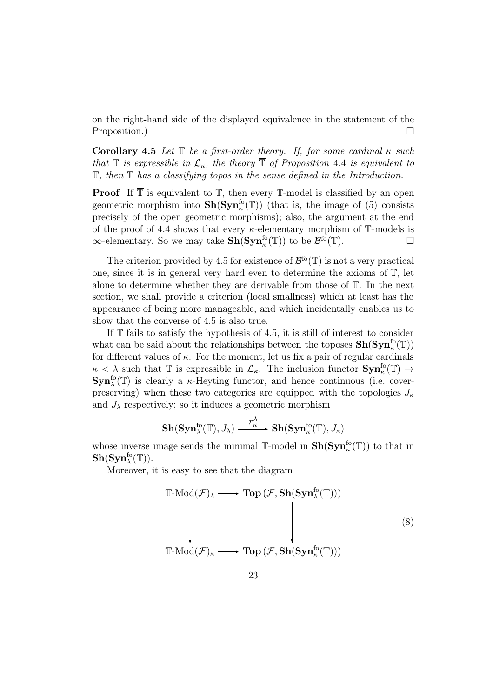on the right-hand side of the displayed equivalence in the statement of the Proposition.)

Corollary 4.5 Let  $\mathbb T$  be a first-order theory. If, for some cardinal  $\kappa$  such that  $\mathbb T$  is expressible in  $\mathcal L_{\kappa}$ , the theory  $\overline{\mathbb T}$  of Proposition 4.4 is equivalent to T, then T has a classifying topos in the sense defined in the Introduction.

**Proof** If  $\overline{\mathbb{T}}$  is equivalent to  $\mathbb{T}$ , then every  $\mathbb{T}$ -model is classified by an open geometric morphism into  $\mathbf{Sh}(\mathbf{Syn}^{\text{fo}}_{\kappa}(\mathbb{T}))$  (that is, the image of (5) consists precisely of the open geometric morphisms); also, the argument at the end of the proof of 4.4 shows that every  $\kappa$ -elementary morphism of  $\mathbb{T}$ -models is  $\infty$ -elementary. So we may take  $\mathbf{Sh}(\mathbf{Syn}^{fo}_{\kappa}(\mathbb{T}))$  to be  $\mathcal{B}^{fo}(\mathbb{T})$ .

The criterion provided by 4.5 for existence of  $\mathcal{B}^{f}(\mathbb{T})$  is not a very practical one, since it is in general very hard even to determine the axioms of  $\overline{T}$ , let alone to determine whether they are derivable from those of T. In the next section, we shall provide a criterion (local smallness) which at least has the appearance of being more manageable, and which incidentally enables us to show that the converse of 4.5 is also true.

If  $T$  fails to satisfy the hypothesis of 4.5, it is still of interest to consider what can be said about the relationships between the toposes  $\mathbf{Sh}(\mathbf{Syn}^{\text{fo}}_\kappa(\mathbb{T}))$ for different values of  $\kappa$ . For the moment, let us fix a pair of regular cardinals  $\kappa < \lambda$  such that T is expressible in  $\mathcal{L}_{\kappa}$ . The inclusion functor  $\text{Syn}_{\kappa}^{\text{fo}}(\mathbb{T}) \to$  $\text{Sym}_{\lambda}^{\text{fo}}(\mathbb{T})$  is clearly a  $\kappa$ -Heyting functor, and hence continuous (i.e. coverpreserving) when these two categories are equipped with the topologies  $J_{\kappa}$ and  $J_{\lambda}$  respectively; so it induces a geometric morphism

$$
\mathbf{Sh}(\mathbf{Syn}_{\lambda}^{\text{fo}}(\mathbb{T}),J_{\lambda})\stackrel{\mathcal{r}_{\kappa}^{\lambda}}{\xrightarrow{\hspace*{1cm}}} \mathbf{Sh}(\mathbf{Syn}_{\kappa}^{\text{fo}}(\mathbb{T}),J_{\kappa})
$$

whose inverse image sends the minimal  $\mathbb{T}$ -model in  $\mathbf{Sh}(\mathbf{Syn}_{\kappa}^{\text{fo}}(\mathbb{T}))$  to that in  $\mathbf{Sh}(\mathbf{Syn}^{\mathrm{fo}}_\lambda(\mathbb{T})).$ 

Moreover, it is easy to see that the diagram

$$
\mathbb{T}\text{-Mod}(\mathcal{F})_{\lambda} \longrightarrow \textbf{Top}(\mathcal{F}, \textbf{Sh}(\textbf{Syn}_{\lambda}^{\text{fo}}(\mathbb{T})))
$$
\n
$$
\downarrow \qquad \qquad \downarrow \qquad (8)
$$
\n
$$
\mathbb{T}\text{-Mod}(\mathcal{F})_{\kappa} \longrightarrow \textbf{Top}(\mathcal{F}, \textbf{Sh}(\textbf{Syn}_{\kappa}^{\text{fo}}(\mathbb{T})))
$$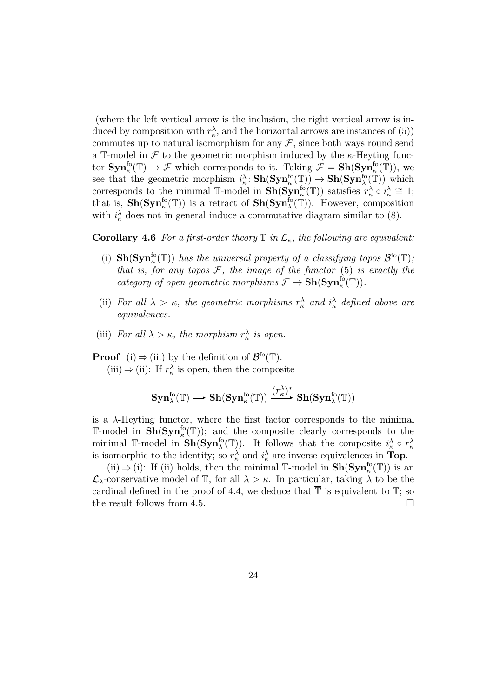(where the left vertical arrow is the inclusion, the right vertical arrow is induced by composition with  $r_{\kappa}^{\lambda}$ , and the horizontal arrows are instances of (5)) commutes up to natural isomorphism for any  $\mathcal{F}$ , since both ways round send a T-model in  $\mathcal F$  to the geometric morphism induced by the  $\kappa$ -Heyting functor  $\text{Syn}_\kappa^{\text{fo}}(\mathbb{T}) \to \mathcal{F}$  which corresponds to it. Taking  $\mathcal{F} = \text{Sh}(\text{Syn}_\kappa^{\text{fo}}(\mathbb{T}))$ , we see that the geometric morphism  $i_{\kappa}^{\lambda}$ :  $\mathbf{Sh}(\mathbf{Syn}_{\kappa}^{\mathbf{fo}}(\mathbb{T})) \to \mathbf{Sh}(\mathbf{Syn}_{\lambda}^{\mathbf{fo}}(\mathbb{T}))$  which corresponds to the minimal T-model in  $\mathbf{Sh}(\mathbf{Syn}^{\text{fo}}_{\kappa}(\mathbb{T}))$  satisfies  $r^{\lambda}_{\kappa} \circ i^{\lambda}_{\kappa} \cong 1;$ that is,  $\mathbf{Sh}(\mathbf{Syn}^{\text{fo}}_{\kappa}(\mathbb{T}))$  is a retract of  $\mathbf{Sh}(\mathbf{Syn}^{\text{fo}}_{\lambda}(\mathbb{T}))$ . However, composition with  $i_{\kappa}^{\lambda}$  does not in general induce a commutative diagram similar to (8).

**Corollary 4.6** For a first-order theory  $\mathbb T$  in  $\mathcal L_{\kappa}$ , the following are equivalent:

- (i)  $\mathbf{Sh}(\mathbf{Syn}_\kappa^{\text{fo}}(\mathbb{T}))$  has the universal property of a classifying topos  $\mathcal{B}^{\text{fo}}(\mathbb{T})$ ; that is, for any topos  $F$ , the image of the functor  $(5)$  is exactly the category of open geometric morphisms  $\mathcal{F} \to \mathbf{Sh}(\mathbf{Syn}_{\kappa}^{\text{fo}}(\mathbb{T})).$
- (ii) For all  $\lambda > \kappa$ , the geometric morphisms  $r_{\kappa}^{\lambda}$  and  $i_{\kappa}^{\lambda}$  defined above are equivalences.
- (iii) For all  $\lambda > \kappa$ , the morphism  $r_{\kappa}^{\lambda}$  is open.

**Proof** (i)  $\Rightarrow$  (iii) by the definition of  $\mathcal{B}^{\text{fo}}(\mathbb{T})$ . (iii)  $\Rightarrow$  (ii): If  $r_{\kappa}^{\lambda}$  is open, then the composite

$$
\mathbf{Syn}_{\lambda}^{\text{fo}}(\mathbb{T}) \longrightarrow \mathbf{Sh}(\mathbf{Syn}_{\kappa}^{\text{fo}}(\mathbb{T})) \xrightarrow{(r_{\kappa}^{\lambda})^*} \mathbf{Sh}(\mathbf{Syn}_{\lambda}^{\text{fo}}(\mathbb{T}))
$$

is a  $\lambda$ -Heyting functor, where the first factor corresponds to the minimal T-model in  $\mathbf{Sh}(\mathbf{Syn}_\kappa^{\text{fo}}(\mathbb{T}))$ ; and the composite clearly corresponds to the minimal T-model in  $\mathbf{Sh}(\mathbf{Syn}^{fo}_{\lambda}(\mathbb{T}))$ . It follows that the composite  $i_{\kappa}^{\lambda} \circ r_{\kappa}^{\lambda}$ is isomorphic to the identity; so  $r_{\kappa}^{\lambda}$  and  $i_{\kappa}^{\lambda}$  are inverse equivalences in Top.

(ii)  $\Rightarrow$  (i): If (ii) holds, then the minimal  $\mathbb{T}$ -model in  $\mathbf{Sh}(\mathbf{Syn}_{\kappa}^{fo}(\mathbb{T}))$  is an  $\mathcal{L}_{\lambda}$ -conservative model of T, for all  $\lambda > \kappa$ . In particular, taking  $\lambda$  to be the cardinal defined in the proof of 4.4, we deduce that  $\overline{\mathbb{T}}$  is equivalent to  $\mathbb{T}$ ; so the result follows from 4.5.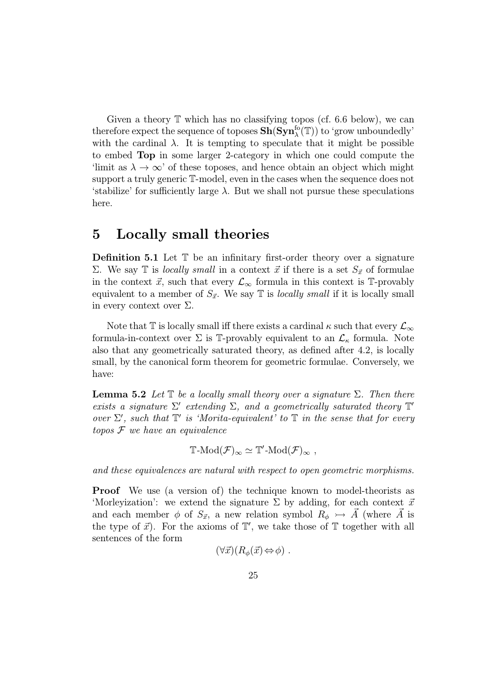Given a theory  $\mathbb T$  which has no classifying topos (cf. 6.6 below), we can therefore expect the sequence of toposes  $\mathbf{Sh}(\mathbf{Syn}^{\text{fo}}_\lambda(\mathbb{T}))$  to 'grow unboundedly' with the cardinal  $\lambda$ . It is tempting to speculate that it might be possible to embed Top in some larger 2-category in which one could compute the 'limit as  $\lambda \to \infty$ ' of these toposes, and hence obtain an object which might support a truly generic T-model, even in the cases when the sequence does not 'stabilize' for sufficiently large  $\lambda$ . But we shall not pursue these speculations here.

### 5 Locally small theories

Definition 5.1 Let  $T$  be an infinitary first-order theory over a signature Σ. We say T is *locally small* in a context  $\vec{x}$  if there is a set  $S_{\vec{x}}$  of formulae in the context  $\vec{x}$ , such that every  $\mathcal{L}_{\infty}$  formula in this context is T-provably equivalent to a member of  $S_{\vec{x}}$ . We say  $\mathbb T$  is *locally small* if it is locally small in every context over  $\Sigma$ .

Note that T is locally small iff there exists a cardinal  $\kappa$  such that every  $\mathcal{L}_{\infty}$ formula-in-context over  $\Sigma$  is T-provably equivalent to an  $\mathcal{L}_{\kappa}$  formula. Note also that any geometrically saturated theory, as defined after 4.2, is locally small, by the canonical form theorem for geometric formulae. Conversely, we have:

**Lemma 5.2** Let  $\mathbb{T}$  be a locally small theory over a signature  $\Sigma$ . Then there exists a signature  $\Sigma'$  extending  $\Sigma$ , and a geometrically saturated theory  $\mathbb{T}'$ over  $\Sigma'$ , such that  $\mathbb{T}'$  is 'Morita-equivalent' to  $\mathbb T$  in the sense that for every  $topos \mathcal{F}$  we have an equivalence

$$
\mathbb{T}\text{-}\mathrm{Mod}(\mathcal{F})_{\infty}\simeq \mathbb{T}'\text{-}\mathrm{Mod}(\mathcal{F})_{\infty} ,
$$

and these equivalences are natural with respect to open geometric morphisms.

Proof We use (a version of) the technique known to model-theorists as 'Morleyization': we extend the signature  $\Sigma$  by adding, for each context  $\vec{x}$ and each member  $\phi$  of  $S_{\vec{x}}$ , a new relation symbol  $R_{\phi} \rightarrowtail A$  (where A is the type of  $\vec{x}$ ). For the axioms of  $\mathbb{T}'$ , we take those of  $\mathbb{T}$  together with all sentences of the form

$$
(\forall \vec{x}) (R_{\phi}(\vec{x}) \Leftrightarrow \phi) .
$$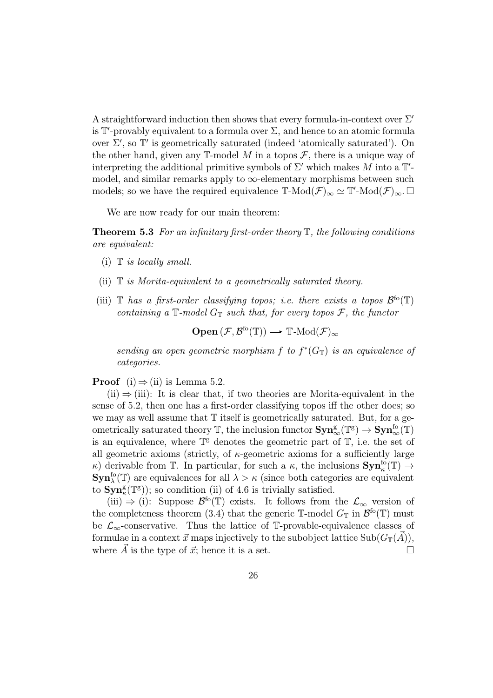A straightforward induction then shows that every formula-in-context over  $\Sigma'$ is  $\mathbb{T}'$ -provably equivalent to a formula over  $\Sigma$ , and hence to an atomic formula over  $\Sigma'$ , so  $\mathbb{T}'$  is geometrically saturated (indeed 'atomically saturated'). On the other hand, given any  $\mathbb{T}\text{-model }M$  in a topos  $\mathcal{F}$ , there is a unique way of interpreting the additional primitive symbols of  $\Sigma'$  which makes M into a  $\mathbb{T}'$ model, and similar remarks apply to  $\infty$ -elementary morphisms between such models; so we have the required equivalence  $\mathbb{T}\text{-Mod}(\mathcal{F})_{\infty} \simeq \mathbb{T}'\text{-Mod}(\mathcal{F})_{\infty}$ .

We are now ready for our main theorem:

**Theorem 5.3** For an infinitary first-order theory  $\mathbb{T}$ , the following conditions are equivalent:

- (i)  $\mathbb{T}$  is locally small.
- (ii)  $\mathbb T$  is Morita-equivalent to a geometrically saturated theory.
- (iii)  $\mathbb T$  has a first-order classifying topos; i.e. there exists a topos  $\mathcal{B}^{\text{fo}}(\mathbb T)$ containing a  $\mathbb{T}$ -model  $G_{\mathbb{T}}$  such that, for every topos  $\mathcal{F}$ , the functor

 $\mathbf{Open}\left(\mathcal{F}, \mathcal{B}^{\mathsf{fo}}(\mathbb{T})\right) \longrightarrow \mathbb{T}\text{-}\mathsf{Mod}(\mathcal{F})_{\infty}$ 

sending an open geometric morphism f to  $f^*(G_T)$  is an equivalence of categories.

**Proof** (i)  $\Rightarrow$  (ii) is Lemma 5.2.

 $(ii) \Rightarrow (iii)$ : It is clear that, if two theories are Morita-equivalent in the sense of 5.2, then one has a first-order classifying topos iff the other does; so we may as well assume that  $T$  itself is geometrically saturated. But, for a geometrically saturated theory  $\mathbb{T}$ , the inclusion functor  $\text{Sym}^g_\infty(\mathbb{T}^g) \to \text{Sym}^{f_0}_\infty(\mathbb{T})$ is an equivalence, where  $\mathbb{T}^g$  denotes the geometric part of  $\mathbb{T}$ , i.e. the set of all geometric axioms (strictly, of  $\kappa$ -geometric axioms for a sufficiently large κ) derivable from T. In particular, for such a  $\kappa$ , the inclusions  $\text{Syn}_\kappa^{\text{fo}}(\mathbb{T}) \to$  $\text{Syn}_{\lambda}^{\text{fo}}(\mathbb{T})$  are equivalences for all  $\lambda > \kappa$  (since both categories are equivalent to  $\text{Syn}_\kappa^g(\mathbb{T}^g)$ ; so condition (ii) of 4.6 is trivially satisfied.

(iii)  $\Rightarrow$  (i): Suppose  $\mathcal{B}^{\text{fo}}(\mathbb{T})$  exists. It follows from the  $\mathcal{L}_{\infty}$  version of the completeness theorem (3.4) that the generic T-model  $G_{\mathbb{T}}$  in  $\mathcal{B}^{\text{fo}}(\mathbb{T})$  must be  $\mathcal{L}_{\infty}$ -conservative. Thus the lattice of T-provable-equivalence classes of formulae in a context  $\vec{x}$  maps injectively to the subobject lattice Sub $(G_{\mathbb{T}}(\vec{A})),$ where  $\vec{A}$  is the type of  $\vec{x}$ ; hence it is a set.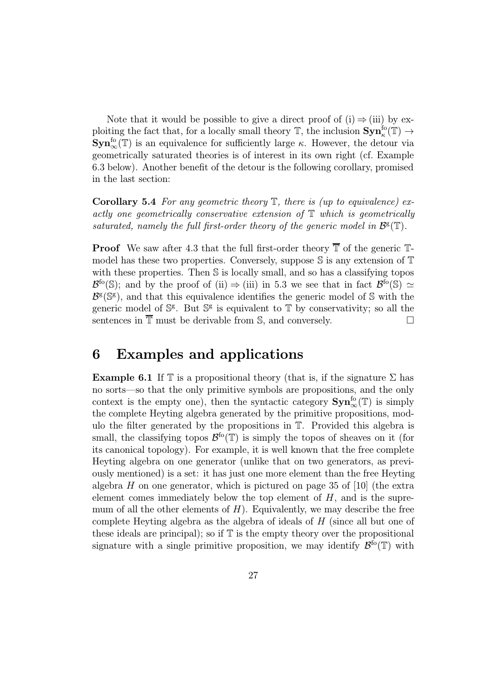Note that it would be possible to give a direct proof of (i)  $\Rightarrow$  (iii) by exploiting the fact that, for a locally small theory  $\mathbb{T}$ , the inclusion  $\text{Syn}_\kappa^{\text{fo}}(\mathbb{T}) \to$  $\text{Sym}^{\text{fo}}_{\infty}(\mathbb{T})$  is an equivalence for sufficiently large  $\kappa$ . However, the detour via geometrically saturated theories is of interest in its own right (cf. Example 6.3 below). Another benefit of the detour is the following corollary, promised in the last section:

**Corollary 5.4** For any geometric theory  $\mathbb{T}$ , there is (up to equivalence) exactly one geometrically conservative extension of T which is geometrically saturated, namely the full first-order theory of the generic model in  $\mathcal{B}^{\mathsf{g}}(\mathbb{T})$ .

**Proof** We saw after 4.3 that the full first-order theory  $\overline{\mathbb{T}}$  of the generic  $\mathbb{T}$ model has these two properties. Conversely, suppose  $\mathbb S$  is any extension of  $\mathbb T$ with these properties. Then S is locally small, and so has a classifying topos  $\mathcal{B}^{fo}(\mathbb{S})$ ; and by the proof of (ii)  $\Rightarrow$  (iii) in 5.3 we see that in fact  $\mathcal{B}^{fo}(\mathbb{S}) \simeq$  $\mathcal{B}^{\mathsf{g}}(\mathbb{S}^{\mathsf{g}})$ , and that this equivalence identifies the generic model of S with the generic model of  $\mathbb{S}^g$ . But  $\mathbb{S}^g$  is equivalent to  $\mathbb T$  by conservativity; so all the sentences in  $\overline{\mathbb{T}}$  must be derivable from S, and conversely.

### 6 Examples and applications

**Example 6.1** If  $\mathbb T$  is a propositional theory (that is, if the signature  $\Sigma$  has no sorts—so that the only primitive symbols are propositions, and the only context is the empty one), then the syntactic category  $\text{Syn}_{\infty}^{\text{fo}}(\mathbb{T})$  is simply the complete Heyting algebra generated by the primitive propositions, modulo the filter generated by the propositions in T. Provided this algebra is small, the classifying topos  $\mathcal{B}^{f}(\mathbb{T})$  is simply the topos of sheaves on it (for its canonical topology). For example, it is well known that the free complete Heyting algebra on one generator (unlike that on two generators, as previously mentioned) is a set: it has just one more element than the free Heyting algebra  $H$  on one generator, which is pictured on page 35 of [10] (the extra element comes immediately below the top element of  $H$ , and is the supremum of all the other elements of  $H$ ). Equivalently, we may describe the free complete Heyting algebra as the algebra of ideals of H (since all but one of these ideals are principal); so if  $T$  is the empty theory over the propositional signature with a single primitive proposition, we may identify  $\mathcal{B}^{f \circ}(\mathbb{T})$  with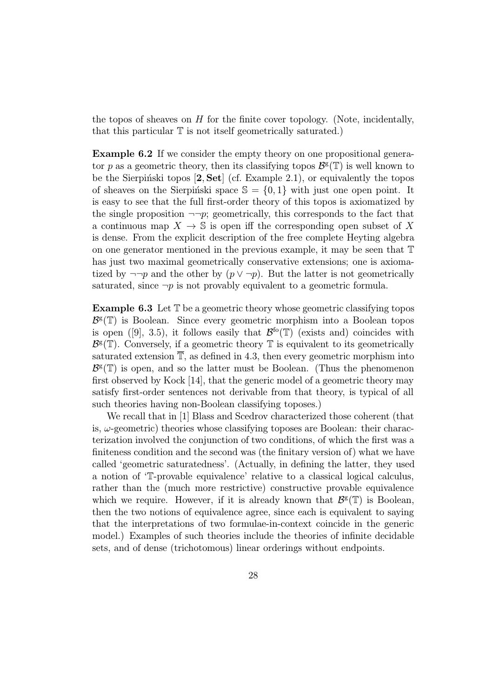the topos of sheaves on  $H$  for the finite cover topology. (Note, incidentally, that this particular  $\mathbb T$  is not itself geometrically saturated.)

Example 6.2 If we consider the empty theory on one propositional generator p as a geometric theory, then its classifying topos  $\mathcal{B}^{\rm g}(\mathbb{T})$  is well known to be the Sierpinski topos  $[2, Set]$  (cf. Example 2.1), or equivalently the topos of sheaves on the Sierpinski space  $\mathbb{S} = \{0, 1\}$  with just one open point. It is easy to see that the full first-order theory of this topos is axiomatized by the single proposition  $\neg\neg p$ ; geometrically, this corresponds to the fact that a continuous map  $X \to \mathbb{S}$  is open iff the corresponding open subset of X is dense. From the explicit description of the free complete Heyting algebra on one generator mentioned in the previous example, it may be seen that T has just two maximal geometrically conservative extensions; one is axiomatized by  $\neg\neg p$  and the other by  $(p \lor \neg p)$ . But the latter is not geometrically saturated, since  $\neg p$  is not provably equivalent to a geometric formula.

**Example 6.3** Let  $\mathbb{T}$  be a geometric theory whose geometric classifying topos  $\mathcal{B}^{\mathsf{g}}(\mathbb{T})$  is Boolean. Since every geometric morphism into a Boolean topos is open ([9], 3.5), it follows easily that  $\mathcal{B}^{f}(\mathbb{T})$  (exists and) coincides with  $\mathcal{B}^{\mathsf{g}}(\mathbb{T})$ . Conversely, if a geometric theory  $\mathbb T$  is equivalent to its geometrically saturated extension  $\overline{\mathbb{T}}$ , as defined in 4.3, then every geometric morphism into  $\mathcal{B}^{\mathsf{g}}(\mathbb{T})$  is open, and so the latter must be Boolean. (Thus the phenomenon first observed by Kock [14], that the generic model of a geometric theory may satisfy first-order sentences not derivable from that theory, is typical of all such theories having non-Boolean classifying toposes.)

We recall that in [1] Blass and Scedrov characterized those coherent (that is,  $\omega$ -geometric) theories whose classifying toposes are Boolean: their characterization involved the conjunction of two conditions, of which the first was a finiteness condition and the second was (the finitary version of) what we have called 'geometric saturatedness'. (Actually, in defining the latter, they used a notion of 'T-provable equivalence' relative to a classical logical calculus, rather than the (much more restrictive) constructive provable equivalence which we require. However, if it is already known that  $\mathcal{B}^g(\mathbb{T})$  is Boolean, then the two notions of equivalence agree, since each is equivalent to saying that the interpretations of two formulae-in-context coincide in the generic model.) Examples of such theories include the theories of infinite decidable sets, and of dense (trichotomous) linear orderings without endpoints.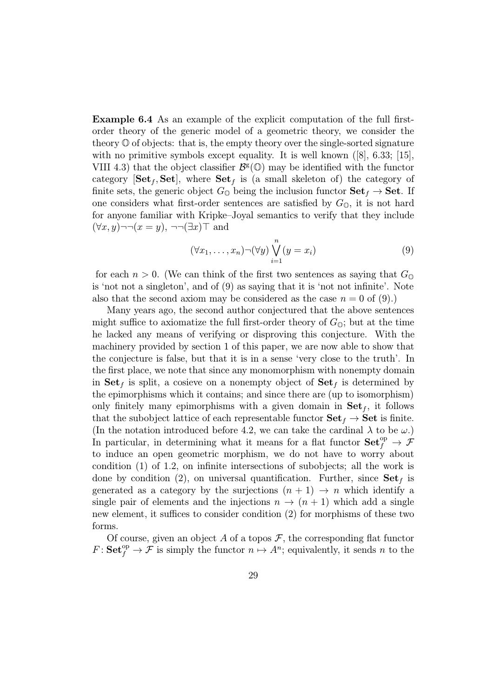Example 6.4 As an example of the explicit computation of the full firstorder theory of the generic model of a geometric theory, we consider the theory  $\mathbb O$  of objects: that is, the empty theory over the single-sorted signature with no primitive symbols except equality. It is well known  $([8], 6.33; [15],$ VIII 4.3) that the object classifier  $\mathcal{B}^g(\mathbb{O})$  may be identified with the functor category  $[Set_f, Set]$ , where  $Set_f$  is (a small skeleton of) the category of finite sets, the generic object  $G_{\mathbb{Q}}$  being the inclusion functor  $\mathbf{Set}_f \to \mathbf{Set}$ . If one considers what first-order sentences are satisfied by  $G_{\mathbb{O}}$ , it is not hard for anyone familiar with Kripke–Joyal semantics to verify that they include  $(\forall x, y) \neg \neg (x = y), \neg \neg (\exists x) \top$  and

$$
(\forall x_1, \dots, x_n) \neg (\forall y) \bigvee_{i=1}^n (y = x_i)
$$
\n(9)

for each  $n > 0$ . (We can think of the first two sentences as saying that  $G_0$ is 'not not a singleton', and of (9) as saying that it is 'not not infinite'. Note also that the second axiom may be considered as the case  $n = 0$  of (9).)

Many years ago, the second author conjectured that the above sentences might suffice to axiomatize the full first-order theory of  $G_{\mathbb{Q}}$ ; but at the time he lacked any means of verifying or disproving this conjecture. With the machinery provided by section 1 of this paper, we are now able to show that the conjecture is false, but that it is in a sense 'very close to the truth'. In the first place, we note that since any monomorphism with nonempty domain in  $\textbf{Set}_f$  is split, a cosieve on a nonempty object of  $\textbf{Set}_f$  is determined by the epimorphisms which it contains; and since there are (up to isomorphism) only finitely many epimorphisms with a given domain in  $\mathbf{Set}_f$ , it follows that the subobject lattice of each representable functor  $\mathbf{Set}_f \to \mathbf{Set}$  is finite. (In the notation introduced before 4.2, we can take the cardinal  $\lambda$  to be  $\omega$ .) In particular, in determining what it means for a flat functor  $\mathbf{Set}^{\text{op}}_f \to \mathcal{F}$ to induce an open geometric morphism, we do not have to worry about condition (1) of 1.2, on infinite intersections of subobjects; all the work is done by condition (2), on universal quantification. Further, since  $\textbf{Set}_f$  is generated as a category by the surjections  $(n + 1) \rightarrow n$  which identify a single pair of elements and the injections  $n \to (n+1)$  which add a single new element, it suffices to consider condition (2) for morphisms of these two forms.

Of course, given an object A of a topos  $\mathcal{F}$ , the corresponding flat functor  $F: \mathbf{Set}^{\text{op}}_f \to \mathcal{F}$  is simply the functor  $n \mapsto A^n$ ; equivalently, it sends n to the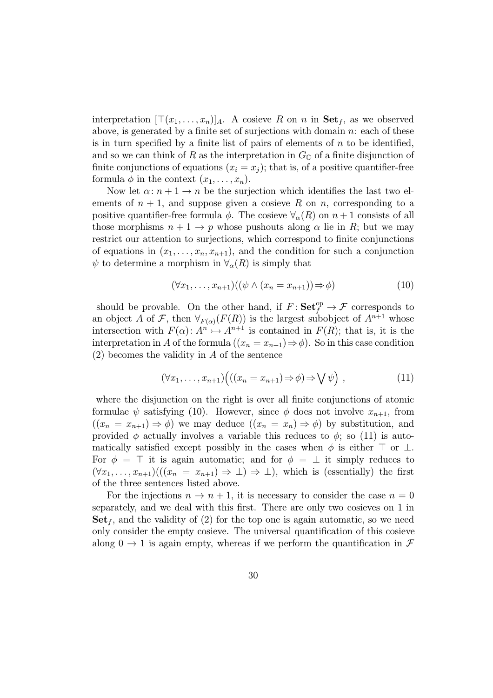interpretation  $[\top(x_1,...,x_n)]_A$ . A cosieve R on n in  $\textbf{Set}_f$ , as we observed above, is generated by a finite set of surjections with domain  $n$ : each of these is in turn specified by a finite list of pairs of elements of  $n$  to be identified, and so we can think of R as the interpretation in  $G_{\mathbb{Q}}$  of a finite disjunction of finite conjunctions of equations  $(x_i = x_j)$ ; that is, of a positive quantifier-free formula  $\phi$  in the context  $(x_1, \ldots, x_n)$ .

Now let  $\alpha: n+1 \to n$  be the surjection which identifies the last two elements of  $n + 1$ , and suppose given a cosieve R on n, corresponding to a positive quantifier-free formula  $\phi$ . The cosieve  $\forall_{\alpha}(R)$  on  $n+1$  consists of all those morphisms  $n + 1 \rightarrow p$  whose pushouts along  $\alpha$  lie in R; but we may restrict our attention to surjections, which correspond to finite conjunctions of equations in  $(x_1, \ldots, x_n, x_{n+1})$ , and the condition for such a conjunction  $\psi$  to determine a morphism in  $\forall_{\alpha}(R)$  is simply that

$$
(\forall x_1, \dots, x_{n+1})((\psi \land (x_n = x_{n+1})) \Rightarrow \phi)
$$
\n<sup>(10)</sup>

should be provable. On the other hand, if  $F: \mathbf{Set}^{\mathrm{op}}_f \to \mathcal{F}$  corresponds to an object A of F, then  $\forall_{F(\alpha)}(F(R))$  is the largest subobject of  $A^{n+1}$  whose intersection with  $F(\alpha): A^n \rightarrow A^{n+1}$  is contained in  $F(R)$ ; that is, it is the interpretation in A of the formula  $((x_n = x_{n+1}) \Rightarrow \phi)$ . So in this case condition (2) becomes the validity in A of the sentence

$$
(\forall x_1, \ldots, x_{n+1}) \Big( ((x_n = x_{n+1}) \Rightarrow \phi) \Rightarrow \bigvee \psi \Big) , \qquad (11)
$$

where the disjunction on the right is over all finite conjunctions of atomic formulae  $\psi$  satisfying (10). However, since  $\phi$  does not involve  $x_{n+1}$ , from  $((x_n = x_{n+1}) \Rightarrow \phi)$  we may deduce  $((x_n = x_n) \Rightarrow \phi)$  by substitution, and provided  $\phi$  actually involves a variable this reduces to  $\phi$ ; so (11) is automatically satisfied except possibly in the cases when  $\phi$  is either  $\top$  or  $\bot$ . For  $\phi = \top$  it is again automatic; and for  $\phi = \bot$  it simply reduces to  $(\forall x_1,\ldots,x_{n+1})((x_n = x_{n+1}) \Rightarrow \bot) \Rightarrow \bot)$ , which is (essentially) the first of the three sentences listed above.

For the injections  $n \to n+1$ , it is necessary to consider the case  $n = 0$ separately, and we deal with this first. There are only two cosieves on 1 in  $\mathbf{Set}_f$ , and the validity of (2) for the top one is again automatic, so we need only consider the empty cosieve. The universal quantification of this cosieve along  $0 \rightarrow 1$  is again empty, whereas if we perform the quantification in  $\mathcal F$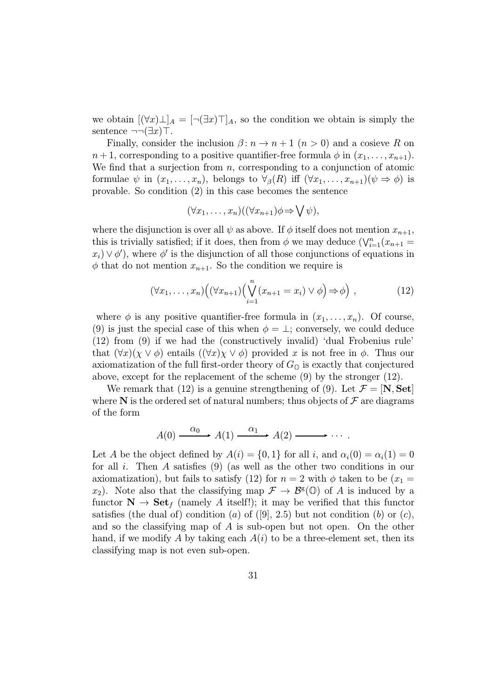we obtain  $[(\forall x)\bot]_A = [\neg(\exists x)\top]_A$ , so the condition we obtain is simply the sentence  $\neg\neg(\exists x)\top$ .

Finally, consider the inclusion  $\beta: n \to n+1$   $(n > 0)$  and a cosieve R on  $n+1$ , corresponding to a positive quantifier-free formula  $\phi$  in  $(x_1,\ldots,x_{n+1})$ . We find that a surjection from  $n$ , corresponding to a conjunction of atomic formulae  $\psi$  in  $(x_1,\ldots,x_n)$ , belongs to  $\forall_{\beta}(R)$  iff  $(\forall x_1,\ldots,x_{n+1})(\psi \Rightarrow \phi)$  is provable. So condition (2) in this case becomes the sentence

$$
(\forall x_1, \ldots, x_n)((\forall x_{n+1})\phi \Rightarrow \bigvee \psi),
$$

where the disjunction is over all  $\psi$  as above. If  $\phi$  itself does not mention  $x_{n+1}$ , this is trivially satisfied; if it does, then from  $\phi$  we may deduce  $(\bigvee_{i=1}^{n}(x_{n+1} =$  $(x_i) \vee \phi'$ , where  $\phi'$  is the disjunction of all those conjunctions of equations in  $\phi$  that do not mention  $x_{n+1}$ . So the condition we require is

$$
(\forall x_1, \ldots, x_n) \Big( (\forall x_{n+1}) \Big( \bigvee_{i=1}^n (x_{n+1} = x_i) \vee \phi \Big) \Rightarrow \phi \Big) , \qquad (12)
$$

where  $\phi$  is any positive quantifier-free formula in  $(x_1,...,x_n)$ . Of course, (9) is just the special case of this when  $\phi = \perp$ ; conversely, we could deduce (12) from (9) if we had the (constructively invalid) 'dual Frobenius rule' that  $(\forall x)(\chi \lor \phi)$  entails  $((\forall x)\chi \lor \phi)$  provided x is not free in  $\phi$ . Thus our axiomatization of the full first-order theory of  $G_{\mathbb{O}}$  is exactly that conjectured above, except for the replacement of the scheme (9) by the stronger (12).

We remark that (12) is a genuine strengthening of (9). Let  $\mathcal{F} = [\mathbf{N}, \mathbf{Set}]$ where  $N$  is the ordered set of natural numbers; thus objects of  $\mathcal F$  are diagrams of the form

$$
A(0) \xrightarrow{\alpha_0} A(1) \xrightarrow{\alpha_1} A(2) \longrightarrow \cdots
$$

Let A be the object defined by  $A(i) = \{0,1\}$  for all i, and  $\alpha_i(0) = \alpha_i(1) = 0$ for all i. Then A satisfies (9) (as well as the other two conditions in our axiomatization), but fails to satisfy (12) for  $n = 2$  with  $\phi$  taken to be  $(x_1 =$  $x_2$ ). Note also that the classifying map  $\mathcal{F} \to \mathcal{B}^g(\mathbb{O})$  of A is induced by a functor  $\mathbf{N} \to \mathbf{Set}_f$  (namely A itself!); it may be verified that this functor satisfies (the dual of) condition (a) of  $([9], 2.5)$  but not condition (b) or (c), and so the classifying map of  $A$  is sub-open but not open. On the other hand, if we modify A by taking each  $A(i)$  to be a three-element set, then its classifying map is not even sub-open.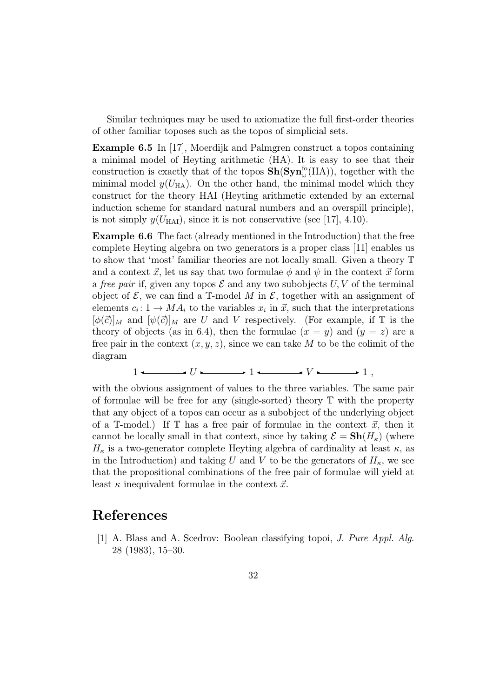Similar techniques may be used to axiomatize the full first-order theories of other familiar toposes such as the topos of simplicial sets.

Example 6.5 In [17], Moerdijk and Palmgren construct a topos containing a minimal model of Heyting arithmetic (HA). It is easy to see that their construction is exactly that of the topos  $\mathbf{Sh}(\mathbf{Syn}^{\text{fo}}_{\omega}(\text{HA}))$ , together with the minimal model  $y(U_{HA})$ . On the other hand, the minimal model which they construct for the theory HAI (Heyting arithmetic extended by an external induction scheme for standard natural numbers and an overspill principle), is not simply  $y(U_{\text{HAI}})$ , since it is not conservative (see [17], 4.10).

Example 6.6 The fact (already mentioned in the Introduction) that the free complete Heyting algebra on two generators is a proper class [11] enables us to show that 'most' familiar theories are not locally small. Given a theory T and a context  $\vec{x}$ , let us say that two formulae  $\phi$  and  $\psi$  in the context  $\vec{x}$  form a free pair if, given any topos  $\mathcal E$  and any two subobjects  $U, V$  of the terminal object of  $\mathcal{E}$ , we can find a T-model M in  $\mathcal{E}$ , together with an assignment of elements  $c_i : 1 \to MA_i$  to the variables  $x_i$  in  $\vec{x}$ , such that the interpretations  $[\phi(\vec{c})]_M$  and  $[\psi(\vec{c})]_M$  are U and V respectively. (For example, if T is the theory of objects (as in 6.4), then the formulae  $(x = y)$  and  $(y = z)$  are a free pair in the context  $(x, y, z)$ , since we can take M to be the colimit of the diagram

$$
1 \longleftarrow \hspace{1.5cm} U \longmapsto 1 \longleftarrow V \longleftarrow 1 ,
$$

with the obvious assignment of values to the three variables. The same pair of formulae will be free for any (single-sorted) theory  $\mathbb T$  with the property that any object of a topos can occur as a subobject of the underlying object of a T-model.) If T has a free pair of formulae in the context  $\vec{x}$ , then it cannot be locally small in that context, since by taking  $\mathcal{E} = \mathbf{Sh}(H_{\kappa})$  (where  $H_{\kappa}$  is a two-generator complete Heyting algebra of cardinality at least  $\kappa$ , as in the Introduction) and taking U and V to be the generators of  $H_{\kappa}$ , we see that the propositional combinations of the free pair of formulae will yield at least  $\kappa$  inequivalent formulae in the context  $\vec{x}$ .

### References

[1] A. Blass and A. Scedrov: Boolean classifying topoi, J. Pure Appl. Alg. 28 (1983), 15–30.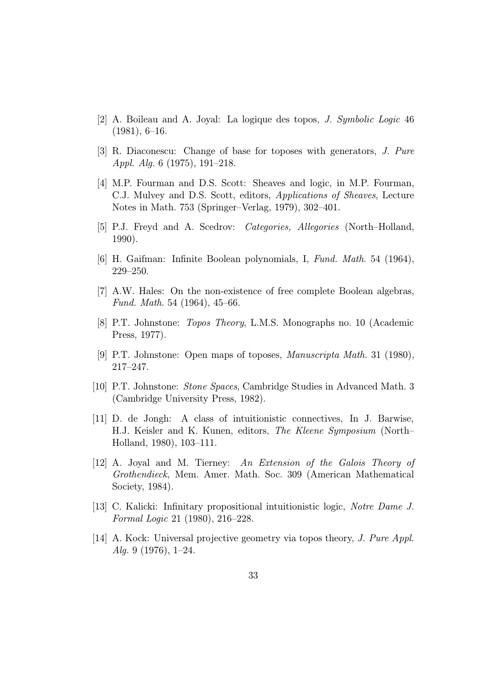- [2] A. Boileau and A. Joyal: La logique des topos, J. Symbolic Logic 46  $(1981), 6-16.$
- [3] R. Diaconescu: Change of base for toposes with generators, J. Pure Appl. Alg. 6 (1975), 191–218.
- [4] M.P. Fourman and D.S. Scott: Sheaves and logic, in M.P. Fourman, C.J. Mulvey and D.S. Scott, editors, Applications of Sheaves, Lecture Notes in Math. 753 (Springer–Verlag, 1979), 302–401.
- [5] P.J. Freyd and A. Scedrov: Categories, Allegories (North–Holland, 1990).
- [6] H. Gaifman: Infinite Boolean polynomials, I, Fund. Math. 54 (1964), 229–250.
- [7] A.W. Hales: On the non-existence of free complete Boolean algebras, Fund. Math. 54 (1964), 45–66.
- [8] P.T. Johnstone: Topos Theory, L.M.S. Monographs no. 10 (Academic Press, 1977).
- [9] P.T. Johnstone: Open maps of toposes, Manuscripta Math. 31 (1980), 217–247.
- [10] P.T. Johnstone: Stone Spaces, Cambridge Studies in Advanced Math. 3 (Cambridge University Press, 1982).
- [11] D. de Jongh: A class of intuitionistic connectives, In J. Barwise, H.J. Keisler and K. Kunen, editors, The Kleene Symposium (North– Holland, 1980), 103–111.
- [12] A. Joyal and M. Tierney: An Extension of the Galois Theory of Grothendieck, Mem. Amer. Math. Soc. 309 (American Mathematical Society, 1984).
- [13] C. Kalicki: Infinitary propositional intuitionistic logic, Notre Dame J. Formal Logic 21 (1980), 216–228.
- [14] A. Kock: Universal projective geometry via topos theory, *J. Pure Appl.* Alg. 9 (1976), 1–24.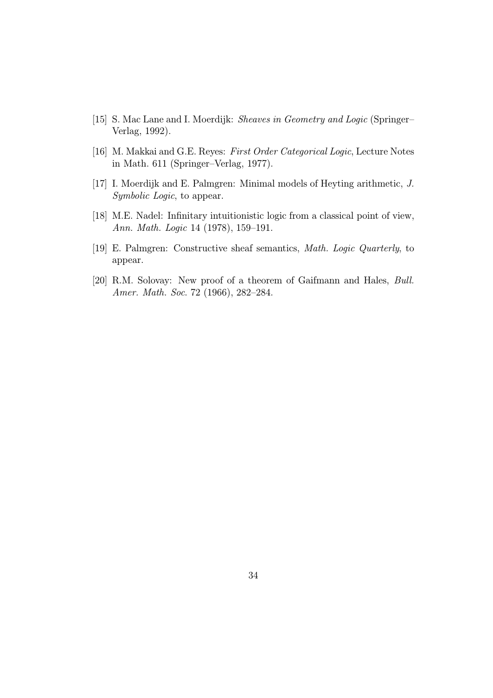- [15] S. Mac Lane and I. Moerdijk: *Sheaves in Geometry and Logic* (Springer– Verlag, 1992).
- [16] M. Makkai and G.E. Reyes: First Order Categorical Logic, Lecture Notes in Math. 611 (Springer–Verlag, 1977).
- [17] I. Moerdijk and E. Palmgren: Minimal models of Heyting arithmetic, J. Symbolic Logic, to appear.
- [18] M.E. Nadel: Infinitary intuitionistic logic from a classical point of view, Ann. Math. Logic 14 (1978), 159–191.
- [19] E. Palmgren: Constructive sheaf semantics, Math. Logic Quarterly, to appear.
- [20] R.M. Solovay: New proof of a theorem of Gaifmann and Hales, Bull. Amer. Math. Soc. 72 (1966), 282–284.